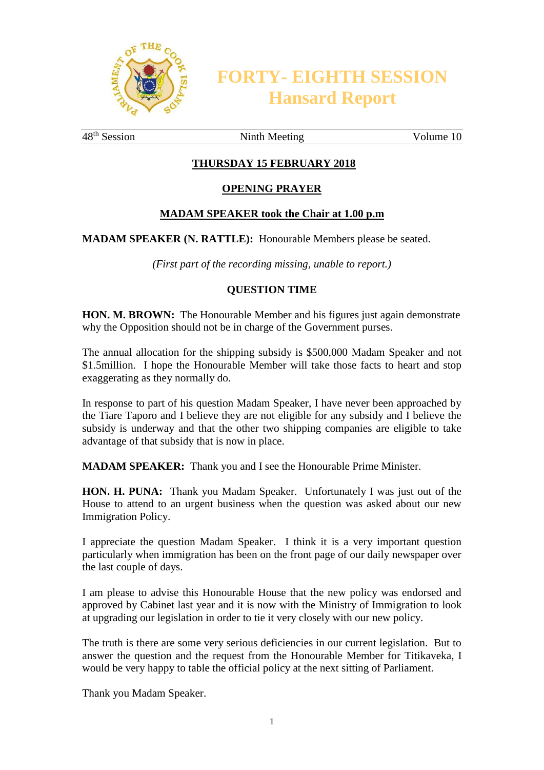

**FORTY- EIGHTH SESSION Hansard Report**

48<sup>th</sup> Session Ninth Meeting Volume 10

## **THURSDAY 15 FEBRUARY 2018**

#### **OPENING PRAYER**

#### **MADAM SPEAKER took the Chair at 1.00 p.m**

**MADAM SPEAKER (N. RATTLE):** Honourable Members please be seated.

*(First part of the recording missing, unable to report.)*

#### **QUESTION TIME**

**HON. M. BROWN:** The Honourable Member and his figures just again demonstrate why the Opposition should not be in charge of the Government purses.

The annual allocation for the shipping subsidy is \$500,000 Madam Speaker and not \$1.5million. I hope the Honourable Member will take those facts to heart and stop exaggerating as they normally do.

In response to part of his question Madam Speaker, I have never been approached by the Tiare Taporo and I believe they are not eligible for any subsidy and I believe the subsidy is underway and that the other two shipping companies are eligible to take advantage of that subsidy that is now in place.

**MADAM SPEAKER:** Thank you and I see the Honourable Prime Minister.

**HON. H. PUNA:** Thank you Madam Speaker. Unfortunately I was just out of the House to attend to an urgent business when the question was asked about our new Immigration Policy.

I appreciate the question Madam Speaker. I think it is a very important question particularly when immigration has been on the front page of our daily newspaper over the last couple of days.

I am please to advise this Honourable House that the new policy was endorsed and approved by Cabinet last year and it is now with the Ministry of Immigration to look at upgrading our legislation in order to tie it very closely with our new policy.

The truth is there are some very serious deficiencies in our current legislation. But to answer the question and the request from the Honourable Member for Titikaveka, I would be very happy to table the official policy at the next sitting of Parliament.

Thank you Madam Speaker.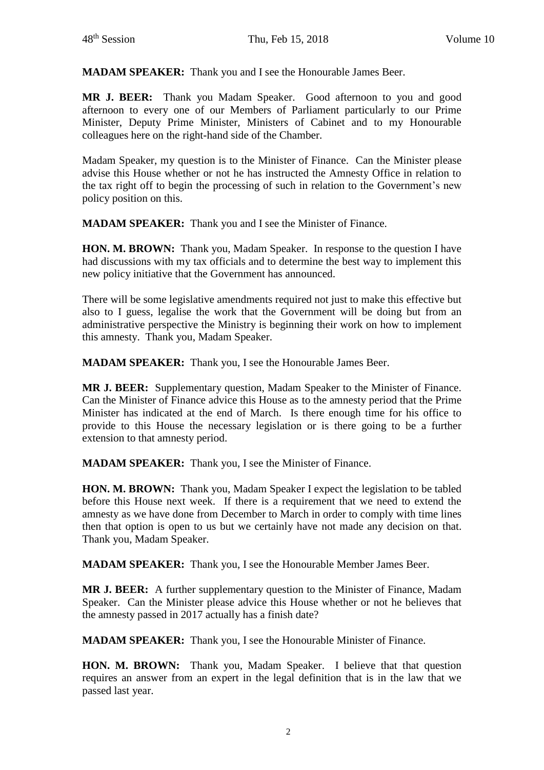**MADAM SPEAKER:** Thank you and I see the Honourable James Beer.

**MR J. BEER:** Thank you Madam Speaker. Good afternoon to you and good afternoon to every one of our Members of Parliament particularly to our Prime Minister, Deputy Prime Minister, Ministers of Cabinet and to my Honourable colleagues here on the right-hand side of the Chamber.

Madam Speaker, my question is to the Minister of Finance. Can the Minister please advise this House whether or not he has instructed the Amnesty Office in relation to the tax right off to begin the processing of such in relation to the Government's new policy position on this.

**MADAM SPEAKER:** Thank you and I see the Minister of Finance.

**HON. M. BROWN:** Thank you, Madam Speaker. In response to the question I have had discussions with my tax officials and to determine the best way to implement this new policy initiative that the Government has announced.

There will be some legislative amendments required not just to make this effective but also to I guess, legalise the work that the Government will be doing but from an administrative perspective the Ministry is beginning their work on how to implement this amnesty. Thank you, Madam Speaker.

**MADAM SPEAKER:** Thank you, I see the Honourable James Beer.

**MR J. BEER:** Supplementary question, Madam Speaker to the Minister of Finance. Can the Minister of Finance advice this House as to the amnesty period that the Prime Minister has indicated at the end of March. Is there enough time for his office to provide to this House the necessary legislation or is there going to be a further extension to that amnesty period.

**MADAM SPEAKER:** Thank you, I see the Minister of Finance.

**HON. M. BROWN:** Thank you, Madam Speaker I expect the legislation to be tabled before this House next week. If there is a requirement that we need to extend the amnesty as we have done from December to March in order to comply with time lines then that option is open to us but we certainly have not made any decision on that. Thank you, Madam Speaker.

**MADAM SPEAKER:** Thank you, I see the Honourable Member James Beer.

**MR J. BEER:** A further supplementary question to the Minister of Finance, Madam Speaker. Can the Minister please advice this House whether or not he believes that the amnesty passed in 2017 actually has a finish date?

**MADAM SPEAKER:** Thank you, I see the Honourable Minister of Finance.

**HON. M. BROWN:** Thank you, Madam Speaker. I believe that that question requires an answer from an expert in the legal definition that is in the law that we passed last year.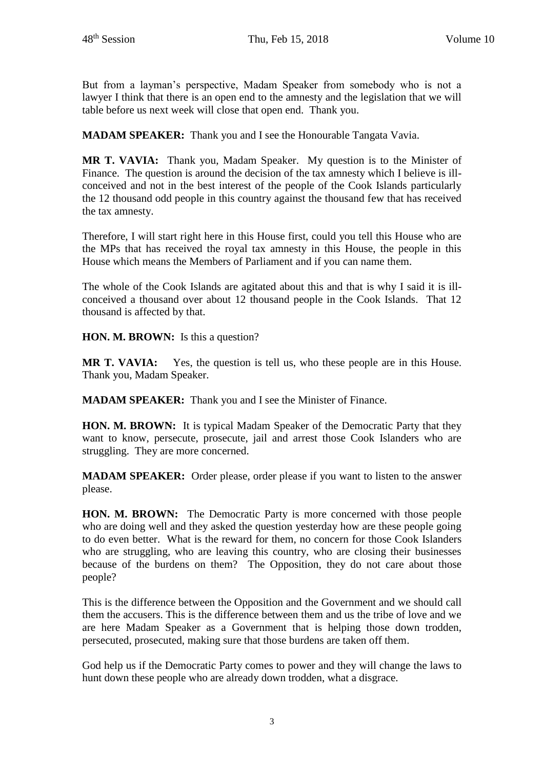But from a layman's perspective, Madam Speaker from somebody who is not a lawyer I think that there is an open end to the amnesty and the legislation that we will table before us next week will close that open end. Thank you.

**MADAM SPEAKER:** Thank you and I see the Honourable Tangata Vavia.

**MR T. VAVIA:** Thank you, Madam Speaker. My question is to the Minister of Finance. The question is around the decision of the tax amnesty which I believe is illconceived and not in the best interest of the people of the Cook Islands particularly the 12 thousand odd people in this country against the thousand few that has received the tax amnesty.

Therefore, I will start right here in this House first, could you tell this House who are the MPs that has received the royal tax amnesty in this House, the people in this House which means the Members of Parliament and if you can name them.

The whole of the Cook Islands are agitated about this and that is why I said it is illconceived a thousand over about 12 thousand people in the Cook Islands. That 12 thousand is affected by that.

**HON. M. BROWN:** Is this a question?

**MR T. VAVIA:** Yes, the question is tell us, who these people are in this House. Thank you, Madam Speaker.

**MADAM SPEAKER:** Thank you and I see the Minister of Finance.

**HON. M. BROWN:** It is typical Madam Speaker of the Democratic Party that they want to know, persecute, prosecute, jail and arrest those Cook Islanders who are struggling. They are more concerned.

**MADAM SPEAKER:** Order please, order please if you want to listen to the answer please.

**HON. M. BROWN:** The Democratic Party is more concerned with those people who are doing well and they asked the question yesterday how are these people going to do even better. What is the reward for them, no concern for those Cook Islanders who are struggling, who are leaving this country, who are closing their businesses because of the burdens on them? The Opposition, they do not care about those people?

This is the difference between the Opposition and the Government and we should call them the accusers. This is the difference between them and us the tribe of love and we are here Madam Speaker as a Government that is helping those down trodden, persecuted, prosecuted, making sure that those burdens are taken off them.

God help us if the Democratic Party comes to power and they will change the laws to hunt down these people who are already down trodden, what a disgrace.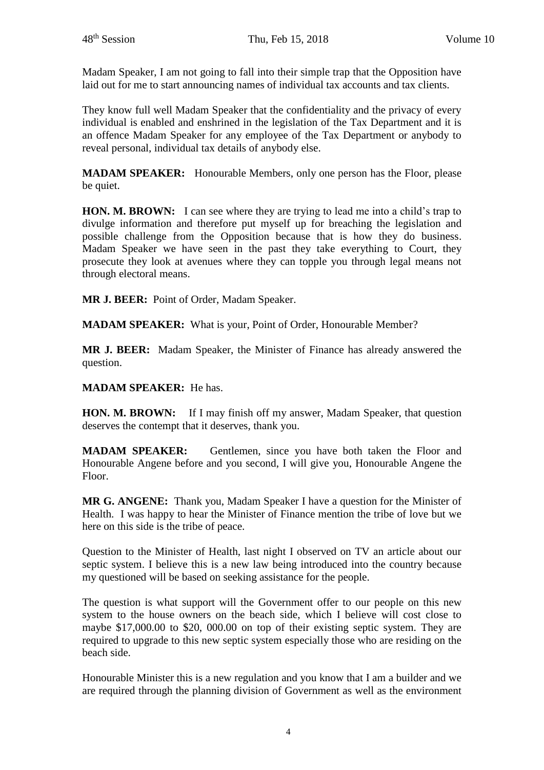Madam Speaker, I am not going to fall into their simple trap that the Opposition have laid out for me to start announcing names of individual tax accounts and tax clients.

They know full well Madam Speaker that the confidentiality and the privacy of every individual is enabled and enshrined in the legislation of the Tax Department and it is an offence Madam Speaker for any employee of the Tax Department or anybody to reveal personal, individual tax details of anybody else.

**MADAM SPEAKER:** Honourable Members, only one person has the Floor, please be quiet.

**HON. M. BROWN:** I can see where they are trying to lead me into a child's trap to divulge information and therefore put myself up for breaching the legislation and possible challenge from the Opposition because that is how they do business. Madam Speaker we have seen in the past they take everything to Court, they prosecute they look at avenues where they can topple you through legal means not through electoral means.

**MR J. BEER:** Point of Order, Madam Speaker.

**MADAM SPEAKER:** What is your, Point of Order, Honourable Member?

**MR J. BEER:** Madam Speaker, the Minister of Finance has already answered the question.

# **MADAM SPEAKER:** He has.

**HON. M. BROWN:** If I may finish off my answer, Madam Speaker, that question deserves the contempt that it deserves, thank you.

**MADAM SPEAKER:** Gentlemen, since you have both taken the Floor and Honourable Angene before and you second, I will give you, Honourable Angene the Floor.

**MR G. ANGENE:** Thank you, Madam Speaker I have a question for the Minister of Health. I was happy to hear the Minister of Finance mention the tribe of love but we here on this side is the tribe of peace.

Question to the Minister of Health, last night I observed on TV an article about our septic system. I believe this is a new law being introduced into the country because my questioned will be based on seeking assistance for the people.

The question is what support will the Government offer to our people on this new system to the house owners on the beach side, which I believe will cost close to maybe \$17,000.00 to \$20, 000.00 on top of their existing septic system. They are required to upgrade to this new septic system especially those who are residing on the beach side.

Honourable Minister this is a new regulation and you know that I am a builder and we are required through the planning division of Government as well as the environment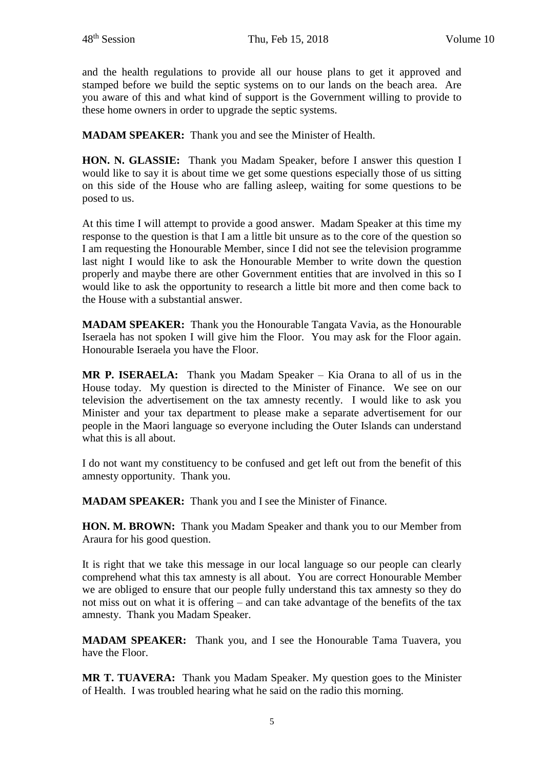and the health regulations to provide all our house plans to get it approved and stamped before we build the septic systems on to our lands on the beach area. Are you aware of this and what kind of support is the Government willing to provide to these home owners in order to upgrade the septic systems.

**MADAM SPEAKER:** Thank you and see the Minister of Health.

**HON. N. GLASSIE:** Thank you Madam Speaker, before I answer this question I would like to say it is about time we get some questions especially those of us sitting on this side of the House who are falling asleep, waiting for some questions to be posed to us.

At this time I will attempt to provide a good answer. Madam Speaker at this time my response to the question is that I am a little bit unsure as to the core of the question so I am requesting the Honourable Member, since I did not see the television programme last night I would like to ask the Honourable Member to write down the question properly and maybe there are other Government entities that are involved in this so I would like to ask the opportunity to research a little bit more and then come back to the House with a substantial answer.

**MADAM SPEAKER:** Thank you the Honourable Tangata Vavia, as the Honourable Iseraela has not spoken I will give him the Floor. You may ask for the Floor again. Honourable Iseraela you have the Floor.

**MR P. ISERAELA:** Thank you Madam Speaker – Kia Orana to all of us in the House today. My question is directed to the Minister of Finance. We see on our television the advertisement on the tax amnesty recently. I would like to ask you Minister and your tax department to please make a separate advertisement for our people in the Maori language so everyone including the Outer Islands can understand what this is all about.

I do not want my constituency to be confused and get left out from the benefit of this amnesty opportunity. Thank you.

**MADAM SPEAKER:** Thank you and I see the Minister of Finance.

**HON. M. BROWN:** Thank you Madam Speaker and thank you to our Member from Araura for his good question.

It is right that we take this message in our local language so our people can clearly comprehend what this tax amnesty is all about. You are correct Honourable Member we are obliged to ensure that our people fully understand this tax amnesty so they do not miss out on what it is offering – and can take advantage of the benefits of the tax amnesty. Thank you Madam Speaker.

**MADAM SPEAKER:** Thank you, and I see the Honourable Tama Tuavera, you have the Floor.

**MR T. TUAVERA:** Thank you Madam Speaker. My question goes to the Minister of Health. I was troubled hearing what he said on the radio this morning.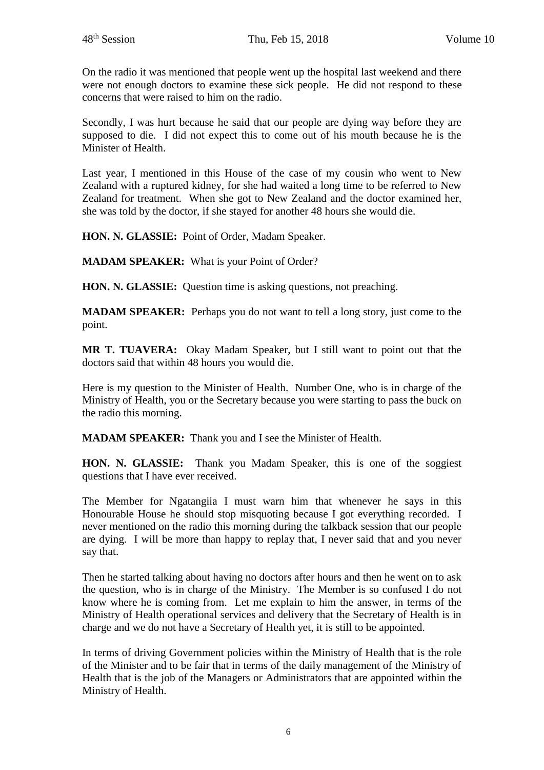On the radio it was mentioned that people went up the hospital last weekend and there were not enough doctors to examine these sick people. He did not respond to these concerns that were raised to him on the radio.

Secondly, I was hurt because he said that our people are dying way before they are supposed to die. I did not expect this to come out of his mouth because he is the Minister of Health.

Last year, I mentioned in this House of the case of my cousin who went to New Zealand with a ruptured kidney, for she had waited a long time to be referred to New Zealand for treatment. When she got to New Zealand and the doctor examined her, she was told by the doctor, if she stayed for another 48 hours she would die.

**HON. N. GLASSIE:** Point of Order, Madam Speaker.

**MADAM SPEAKER:** What is your Point of Order?

**HON. N. GLASSIE:** Question time is asking questions, not preaching.

**MADAM SPEAKER:** Perhaps you do not want to tell a long story, just come to the point.

**MR T. TUAVERA:** Okay Madam Speaker, but I still want to point out that the doctors said that within 48 hours you would die.

Here is my question to the Minister of Health. Number One, who is in charge of the Ministry of Health, you or the Secretary because you were starting to pass the buck on the radio this morning.

**MADAM SPEAKER:** Thank you and I see the Minister of Health.

**HON. N. GLASSIE:** Thank you Madam Speaker, this is one of the soggiest questions that I have ever received.

The Member for Ngatangiia I must warn him that whenever he says in this Honourable House he should stop misquoting because I got everything recorded. I never mentioned on the radio this morning during the talkback session that our people are dying. I will be more than happy to replay that, I never said that and you never say that.

Then he started talking about having no doctors after hours and then he went on to ask the question, who is in charge of the Ministry. The Member is so confused I do not know where he is coming from. Let me explain to him the answer, in terms of the Ministry of Health operational services and delivery that the Secretary of Health is in charge and we do not have a Secretary of Health yet, it is still to be appointed.

In terms of driving Government policies within the Ministry of Health that is the role of the Minister and to be fair that in terms of the daily management of the Ministry of Health that is the job of the Managers or Administrators that are appointed within the Ministry of Health.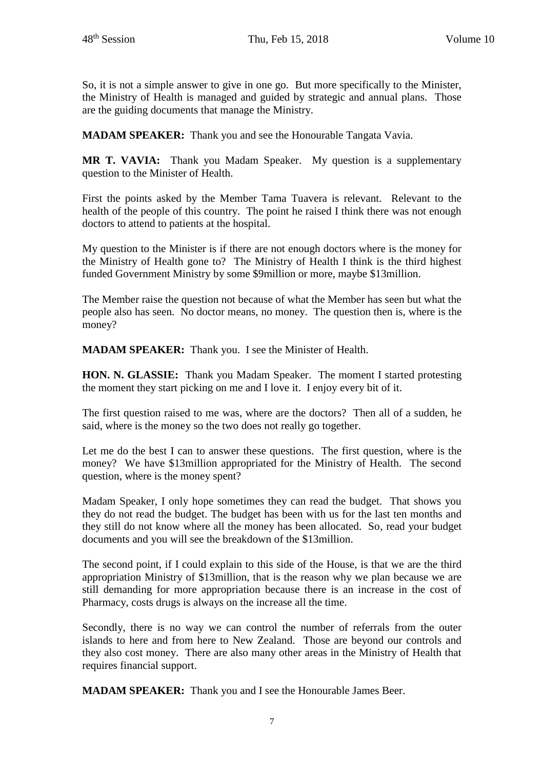So, it is not a simple answer to give in one go. But more specifically to the Minister, the Ministry of Health is managed and guided by strategic and annual plans. Those are the guiding documents that manage the Ministry.

**MADAM SPEAKER:** Thank you and see the Honourable Tangata Vavia.

**MR T. VAVIA:** Thank you Madam Speaker. My question is a supplementary question to the Minister of Health.

First the points asked by the Member Tama Tuavera is relevant. Relevant to the health of the people of this country. The point he raised I think there was not enough doctors to attend to patients at the hospital.

My question to the Minister is if there are not enough doctors where is the money for the Ministry of Health gone to? The Ministry of Health I think is the third highest funded Government Ministry by some \$9million or more, maybe \$13million.

The Member raise the question not because of what the Member has seen but what the people also has seen. No doctor means, no money. The question then is, where is the money?

**MADAM SPEAKER:** Thank you. I see the Minister of Health.

**HON. N. GLASSIE:** Thank you Madam Speaker. The moment I started protesting the moment they start picking on me and I love it. I enjoy every bit of it.

The first question raised to me was, where are the doctors? Then all of a sudden, he said, where is the money so the two does not really go together.

Let me do the best I can to answer these questions. The first question, where is the money? We have \$13million appropriated for the Ministry of Health. The second question, where is the money spent?

Madam Speaker, I only hope sometimes they can read the budget. That shows you they do not read the budget. The budget has been with us for the last ten months and they still do not know where all the money has been allocated. So, read your budget documents and you will see the breakdown of the \$13million.

The second point, if I could explain to this side of the House, is that we are the third appropriation Ministry of \$13million, that is the reason why we plan because we are still demanding for more appropriation because there is an increase in the cost of Pharmacy, costs drugs is always on the increase all the time.

Secondly, there is no way we can control the number of referrals from the outer islands to here and from here to New Zealand. Those are beyond our controls and they also cost money. There are also many other areas in the Ministry of Health that requires financial support.

**MADAM SPEAKER:** Thank you and I see the Honourable James Beer.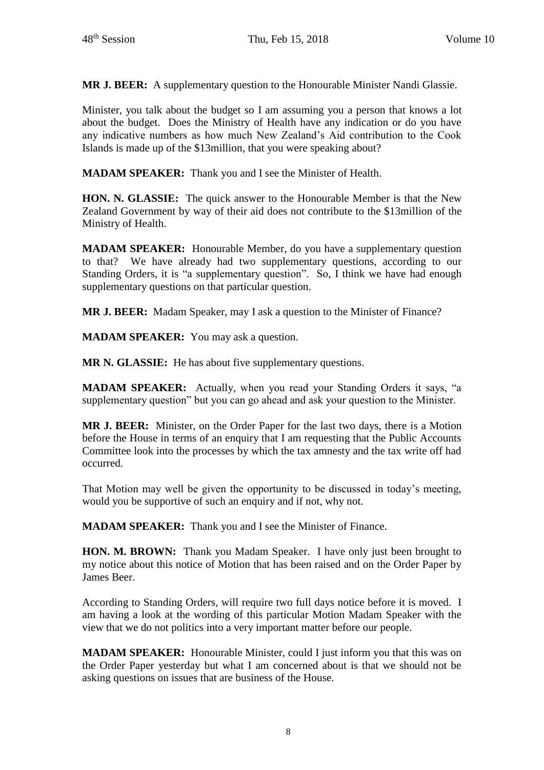**MR J. BEER:** A supplementary question to the Honourable Minister Nandi Glassie.

Minister, you talk about the budget so I am assuming you a person that knows a lot about the budget. Does the Ministry of Health have any indication or do you have any indicative numbers as how much New Zealand's Aid contribution to the Cook Islands is made up of the \$13million, that you were speaking about?

**MADAM SPEAKER:** Thank you and I see the Minister of Health.

**HON. N. GLASSIE:** The quick answer to the Honourable Member is that the New Zealand Government by way of their aid does not contribute to the \$13million of the Ministry of Health.

**MADAM SPEAKER:** Honourable Member, do you have a supplementary question to that? We have already had two supplementary questions, according to our Standing Orders, it is "a supplementary question". So, I think we have had enough supplementary questions on that particular question.

**MR J. BEER:** Madam Speaker, may I ask a question to the Minister of Finance?

**MADAM SPEAKER:** You may ask a question.

**MR N. GLASSIE:** He has about five supplementary questions.

**MADAM SPEAKER:** Actually, when you read your Standing Orders it says, "a supplementary question" but you can go ahead and ask your question to the Minister.

**MR J. BEER:** Minister, on the Order Paper for the last two days, there is a Motion before the House in terms of an enquiry that I am requesting that the Public Accounts Committee look into the processes by which the tax amnesty and the tax write off had occurred.

That Motion may well be given the opportunity to be discussed in today's meeting, would you be supportive of such an enquiry and if not, why not.

**MADAM SPEAKER:** Thank you and I see the Minister of Finance.

**HON. M. BROWN:** Thank you Madam Speaker. I have only just been brought to my notice about this notice of Motion that has been raised and on the Order Paper by James Beer.

According to Standing Orders, will require two full days notice before it is moved. I am having a look at the wording of this particular Motion Madam Speaker with the view that we do not politics into a very important matter before our people.

**MADAM SPEAKER:** Honourable Minister, could I just inform you that this was on the Order Paper yesterday but what I am concerned about is that we should not be asking questions on issues that are business of the House.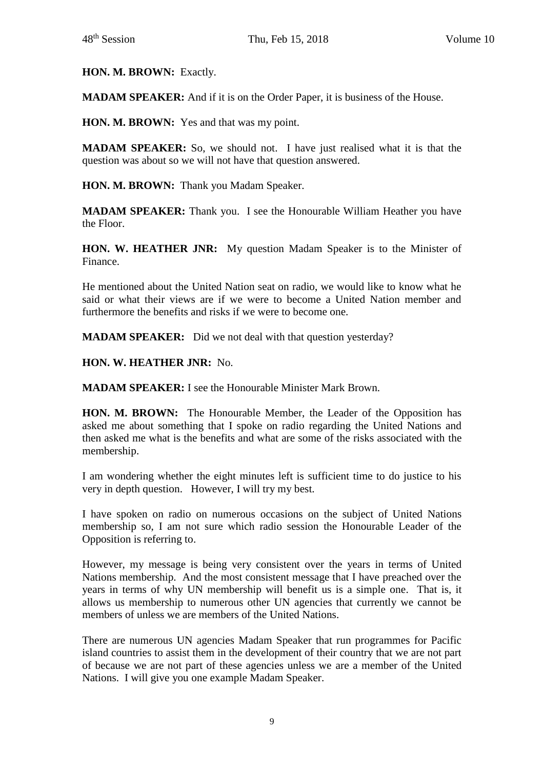**HON. M. BROWN:** Exactly.

**MADAM SPEAKER:** And if it is on the Order Paper, it is business of the House.

**HON. M. BROWN:** Yes and that was my point.

**MADAM SPEAKER:** So, we should not. I have just realised what it is that the question was about so we will not have that question answered.

**HON. M. BROWN:** Thank you Madam Speaker.

**MADAM SPEAKER:** Thank you. I see the Honourable William Heather you have the Floor.

**HON. W. HEATHER JNR:** My question Madam Speaker is to the Minister of Finance.

He mentioned about the United Nation seat on radio, we would like to know what he said or what their views are if we were to become a United Nation member and furthermore the benefits and risks if we were to become one.

**MADAM SPEAKER:** Did we not deal with that question yesterday?

**HON. W. HEATHER JNR:** No.

**MADAM SPEAKER:** I see the Honourable Minister Mark Brown.

**HON. M. BROWN:** The Honourable Member, the Leader of the Opposition has asked me about something that I spoke on radio regarding the United Nations and then asked me what is the benefits and what are some of the risks associated with the membership.

I am wondering whether the eight minutes left is sufficient time to do justice to his very in depth question. However, I will try my best.

I have spoken on radio on numerous occasions on the subject of United Nations membership so, I am not sure which radio session the Honourable Leader of the Opposition is referring to.

However, my message is being very consistent over the years in terms of United Nations membership. And the most consistent message that I have preached over the years in terms of why UN membership will benefit us is a simple one. That is, it allows us membership to numerous other UN agencies that currently we cannot be members of unless we are members of the United Nations.

There are numerous UN agencies Madam Speaker that run programmes for Pacific island countries to assist them in the development of their country that we are not part of because we are not part of these agencies unless we are a member of the United Nations. I will give you one example Madam Speaker.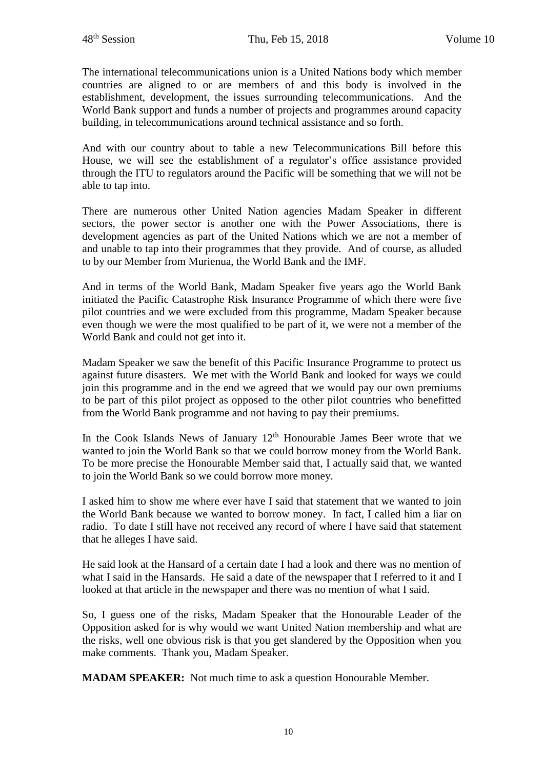The international telecommunications union is a United Nations body which member countries are aligned to or are members of and this body is involved in the establishment, development, the issues surrounding telecommunications. And the World Bank support and funds a number of projects and programmes around capacity building, in telecommunications around technical assistance and so forth.

And with our country about to table a new Telecommunications Bill before this House, we will see the establishment of a regulator's office assistance provided through the ITU to regulators around the Pacific will be something that we will not be able to tap into.

There are numerous other United Nation agencies Madam Speaker in different sectors, the power sector is another one with the Power Associations, there is development agencies as part of the United Nations which we are not a member of and unable to tap into their programmes that they provide. And of course, as alluded to by our Member from Murienua, the World Bank and the IMF.

And in terms of the World Bank, Madam Speaker five years ago the World Bank initiated the Pacific Catastrophe Risk Insurance Programme of which there were five pilot countries and we were excluded from this programme, Madam Speaker because even though we were the most qualified to be part of it, we were not a member of the World Bank and could not get into it.

Madam Speaker we saw the benefit of this Pacific Insurance Programme to protect us against future disasters. We met with the World Bank and looked for ways we could join this programme and in the end we agreed that we would pay our own premiums to be part of this pilot project as opposed to the other pilot countries who benefitted from the World Bank programme and not having to pay their premiums.

In the Cook Islands News of January  $12<sup>th</sup>$  Honourable James Beer wrote that we wanted to join the World Bank so that we could borrow money from the World Bank. To be more precise the Honourable Member said that, I actually said that, we wanted to join the World Bank so we could borrow more money.

I asked him to show me where ever have I said that statement that we wanted to join the World Bank because we wanted to borrow money. In fact, I called him a liar on radio. To date I still have not received any record of where I have said that statement that he alleges I have said.

He said look at the Hansard of a certain date I had a look and there was no mention of what I said in the Hansards. He said a date of the newspaper that I referred to it and I looked at that article in the newspaper and there was no mention of what I said.

So, I guess one of the risks, Madam Speaker that the Honourable Leader of the Opposition asked for is why would we want United Nation membership and what are the risks, well one obvious risk is that you get slandered by the Opposition when you make comments. Thank you, Madam Speaker.

**MADAM SPEAKER:** Not much time to ask a question Honourable Member.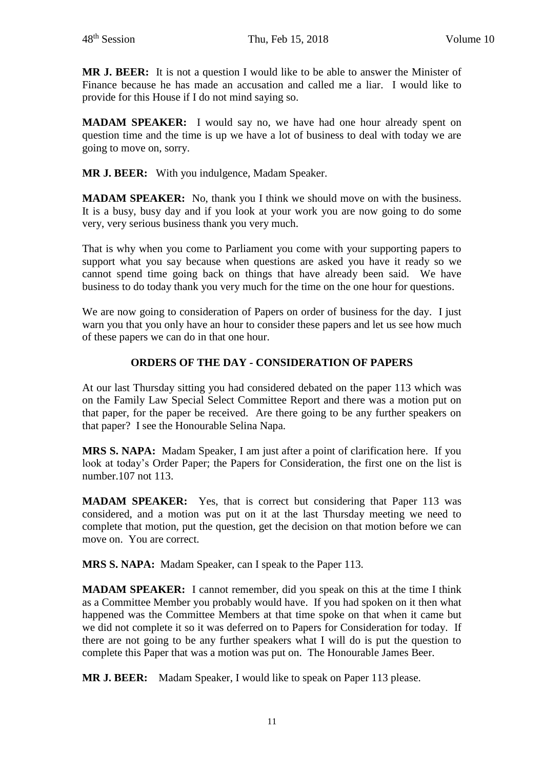**MR J. BEER:** It is not a question I would like to be able to answer the Minister of Finance because he has made an accusation and called me a liar. I would like to provide for this House if I do not mind saying so.

**MADAM SPEAKER:** I would say no, we have had one hour already spent on question time and the time is up we have a lot of business to deal with today we are going to move on, sorry.

**MR J. BEER:** With you indulgence, Madam Speaker.

**MADAM SPEAKER:** No, thank you I think we should move on with the business. It is a busy, busy day and if you look at your work you are now going to do some very, very serious business thank you very much.

That is why when you come to Parliament you come with your supporting papers to support what you say because when questions are asked you have it ready so we cannot spend time going back on things that have already been said. We have business to do today thank you very much for the time on the one hour for questions.

We are now going to consideration of Papers on order of business for the day. I just warn you that you only have an hour to consider these papers and let us see how much of these papers we can do in that one hour.

# **ORDERS OF THE DAY - CONSIDERATION OF PAPERS**

At our last Thursday sitting you had considered debated on the paper 113 which was on the Family Law Special Select Committee Report and there was a motion put on that paper, for the paper be received. Are there going to be any further speakers on that paper? I see the Honourable Selina Napa.

**MRS S. NAPA:** Madam Speaker, I am just after a point of clarification here. If you look at today's Order Paper; the Papers for Consideration, the first one on the list is number.107 not 113.

**MADAM SPEAKER:** Yes, that is correct but considering that Paper 113 was considered, and a motion was put on it at the last Thursday meeting we need to complete that motion, put the question, get the decision on that motion before we can move on. You are correct.

**MRS S. NAPA:** Madam Speaker, can I speak to the Paper 113.

**MADAM SPEAKER:** I cannot remember, did you speak on this at the time I think as a Committee Member you probably would have. If you had spoken on it then what happened was the Committee Members at that time spoke on that when it came but we did not complete it so it was deferred on to Papers for Consideration for today. If there are not going to be any further speakers what I will do is put the question to complete this Paper that was a motion was put on. The Honourable James Beer.

**MR J. BEER:** Madam Speaker, I would like to speak on Paper 113 please.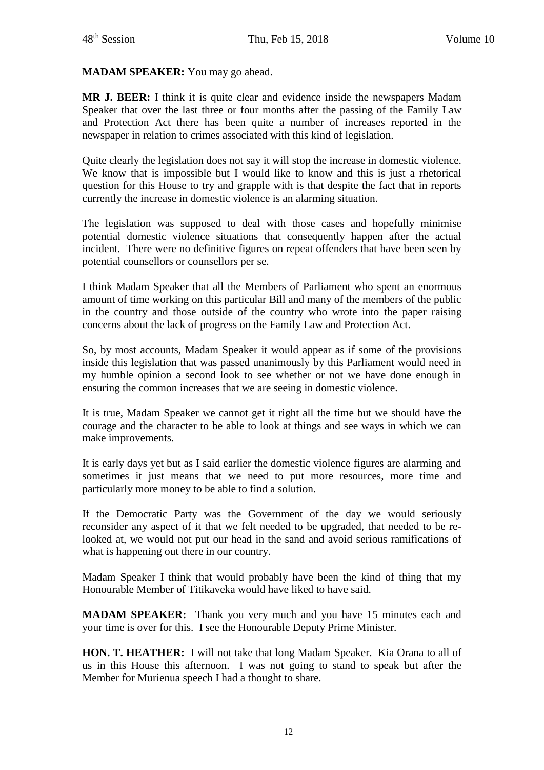### **MADAM SPEAKER:** You may go ahead.

**MR J. BEER:** I think it is quite clear and evidence inside the newspapers Madam Speaker that over the last three or four months after the passing of the Family Law and Protection Act there has been quite a number of increases reported in the newspaper in relation to crimes associated with this kind of legislation.

Quite clearly the legislation does not say it will stop the increase in domestic violence. We know that is impossible but I would like to know and this is just a rhetorical question for this House to try and grapple with is that despite the fact that in reports currently the increase in domestic violence is an alarming situation.

The legislation was supposed to deal with those cases and hopefully minimise potential domestic violence situations that consequently happen after the actual incident. There were no definitive figures on repeat offenders that have been seen by potential counsellors or counsellors per se.

I think Madam Speaker that all the Members of Parliament who spent an enormous amount of time working on this particular Bill and many of the members of the public in the country and those outside of the country who wrote into the paper raising concerns about the lack of progress on the Family Law and Protection Act.

So, by most accounts, Madam Speaker it would appear as if some of the provisions inside this legislation that was passed unanimously by this Parliament would need in my humble opinion a second look to see whether or not we have done enough in ensuring the common increases that we are seeing in domestic violence.

It is true, Madam Speaker we cannot get it right all the time but we should have the courage and the character to be able to look at things and see ways in which we can make improvements.

It is early days yet but as I said earlier the domestic violence figures are alarming and sometimes it just means that we need to put more resources, more time and particularly more money to be able to find a solution.

If the Democratic Party was the Government of the day we would seriously reconsider any aspect of it that we felt needed to be upgraded, that needed to be relooked at, we would not put our head in the sand and avoid serious ramifications of what is happening out there in our country.

Madam Speaker I think that would probably have been the kind of thing that my Honourable Member of Titikaveka would have liked to have said.

**MADAM SPEAKER:** Thank you very much and you have 15 minutes each and your time is over for this. I see the Honourable Deputy Prime Minister.

**HON. T. HEATHER:** I will not take that long Madam Speaker. Kia Orana to all of us in this House this afternoon. I was not going to stand to speak but after the Member for Murienua speech I had a thought to share.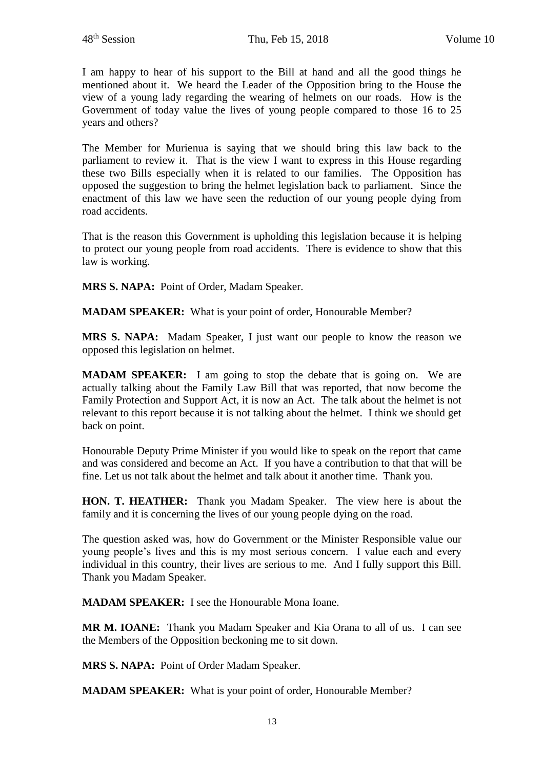I am happy to hear of his support to the Bill at hand and all the good things he mentioned about it. We heard the Leader of the Opposition bring to the House the view of a young lady regarding the wearing of helmets on our roads. How is the Government of today value the lives of young people compared to those 16 to 25 years and others?

The Member for Murienua is saying that we should bring this law back to the parliament to review it. That is the view I want to express in this House regarding these two Bills especially when it is related to our families. The Opposition has opposed the suggestion to bring the helmet legislation back to parliament. Since the enactment of this law we have seen the reduction of our young people dying from road accidents.

That is the reason this Government is upholding this legislation because it is helping to protect our young people from road accidents. There is evidence to show that this law is working.

**MRS S. NAPA:** Point of Order, Madam Speaker.

**MADAM SPEAKER:** What is your point of order, Honourable Member?

**MRS S. NAPA:** Madam Speaker, I just want our people to know the reason we opposed this legislation on helmet.

**MADAM SPEAKER:** I am going to stop the debate that is going on. We are actually talking about the Family Law Bill that was reported, that now become the Family Protection and Support Act, it is now an Act. The talk about the helmet is not relevant to this report because it is not talking about the helmet. I think we should get back on point.

Honourable Deputy Prime Minister if you would like to speak on the report that came and was considered and become an Act. If you have a contribution to that that will be fine. Let us not talk about the helmet and talk about it another time. Thank you.

**HON. T. HEATHER:** Thank you Madam Speaker. The view here is about the family and it is concerning the lives of our young people dying on the road.

The question asked was, how do Government or the Minister Responsible value our young people's lives and this is my most serious concern. I value each and every individual in this country, their lives are serious to me. And I fully support this Bill. Thank you Madam Speaker.

**MADAM SPEAKER:** I see the Honourable Mona Ioane.

**MR M. IOANE:** Thank you Madam Speaker and Kia Orana to all of us. I can see the Members of the Opposition beckoning me to sit down.

**MRS S. NAPA:** Point of Order Madam Speaker.

**MADAM SPEAKER:** What is your point of order, Honourable Member?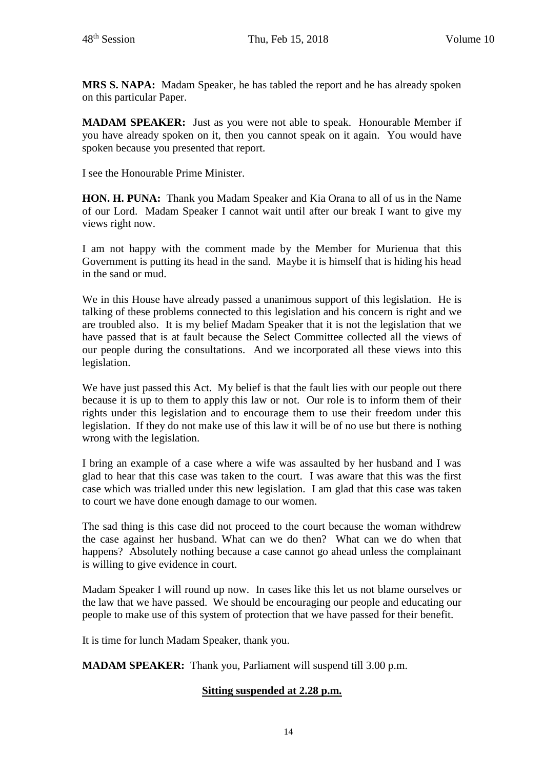**MRS S. NAPA:** Madam Speaker, he has tabled the report and he has already spoken on this particular Paper.

**MADAM SPEAKER:** Just as you were not able to speak. Honourable Member if you have already spoken on it, then you cannot speak on it again. You would have spoken because you presented that report.

I see the Honourable Prime Minister.

**HON. H. PUNA:** Thank you Madam Speaker and Kia Orana to all of us in the Name of our Lord. Madam Speaker I cannot wait until after our break I want to give my views right now.

I am not happy with the comment made by the Member for Murienua that this Government is putting its head in the sand. Maybe it is himself that is hiding his head in the sand or mud.

We in this House have already passed a unanimous support of this legislation. He is talking of these problems connected to this legislation and his concern is right and we are troubled also. It is my belief Madam Speaker that it is not the legislation that we have passed that is at fault because the Select Committee collected all the views of our people during the consultations. And we incorporated all these views into this legislation.

We have just passed this Act. My belief is that the fault lies with our people out there because it is up to them to apply this law or not. Our role is to inform them of their rights under this legislation and to encourage them to use their freedom under this legislation. If they do not make use of this law it will be of no use but there is nothing wrong with the legislation.

I bring an example of a case where a wife was assaulted by her husband and I was glad to hear that this case was taken to the court. I was aware that this was the first case which was trialled under this new legislation. I am glad that this case was taken to court we have done enough damage to our women.

The sad thing is this case did not proceed to the court because the woman withdrew the case against her husband. What can we do then? What can we do when that happens? Absolutely nothing because a case cannot go ahead unless the complainant is willing to give evidence in court.

Madam Speaker I will round up now. In cases like this let us not blame ourselves or the law that we have passed. We should be encouraging our people and educating our people to make use of this system of protection that we have passed for their benefit.

It is time for lunch Madam Speaker, thank you.

**MADAM SPEAKER:** Thank you, Parliament will suspend till 3.00 p.m.

## **Sitting suspended at 2.28 p.m.**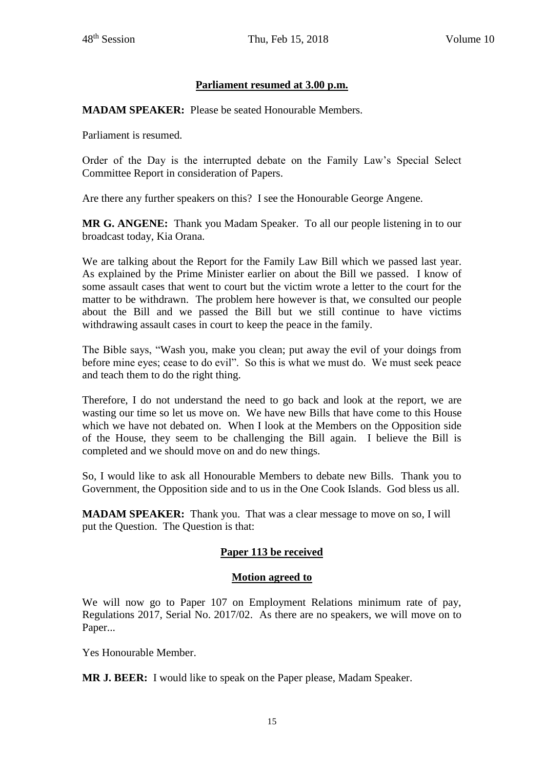# **Parliament resumed at 3.00 p.m.**

**MADAM SPEAKER:** Please be seated Honourable Members.

Parliament is resumed.

Order of the Day is the interrupted debate on the Family Law's Special Select Committee Report in consideration of Papers.

Are there any further speakers on this? I see the Honourable George Angene.

**MR G. ANGENE:** Thank you Madam Speaker. To all our people listening in to our broadcast today, Kia Orana.

We are talking about the Report for the Family Law Bill which we passed last year. As explained by the Prime Minister earlier on about the Bill we passed. I know of some assault cases that went to court but the victim wrote a letter to the court for the matter to be withdrawn. The problem here however is that, we consulted our people about the Bill and we passed the Bill but we still continue to have victims withdrawing assault cases in court to keep the peace in the family.

The Bible says, "Wash you, make you clean; put away the evil of your doings from before mine eyes; cease to do evil". So this is what we must do. We must seek peace and teach them to do the right thing.

Therefore, I do not understand the need to go back and look at the report, we are wasting our time so let us move on. We have new Bills that have come to this House which we have not debated on. When I look at the Members on the Opposition side of the House, they seem to be challenging the Bill again. I believe the Bill is completed and we should move on and do new things.

So, I would like to ask all Honourable Members to debate new Bills. Thank you to Government, the Opposition side and to us in the One Cook Islands. God bless us all.

**MADAM SPEAKER:** Thank you. That was a clear message to move on so, I will put the Question. The Question is that:

## **Paper 113 be received**

#### **Motion agreed to**

We will now go to Paper 107 on Employment Relations minimum rate of pay, Regulations 2017, Serial No. 2017/02. As there are no speakers, we will move on to Paper...

Yes Honourable Member.

**MR J. BEER:** I would like to speak on the Paper please, Madam Speaker.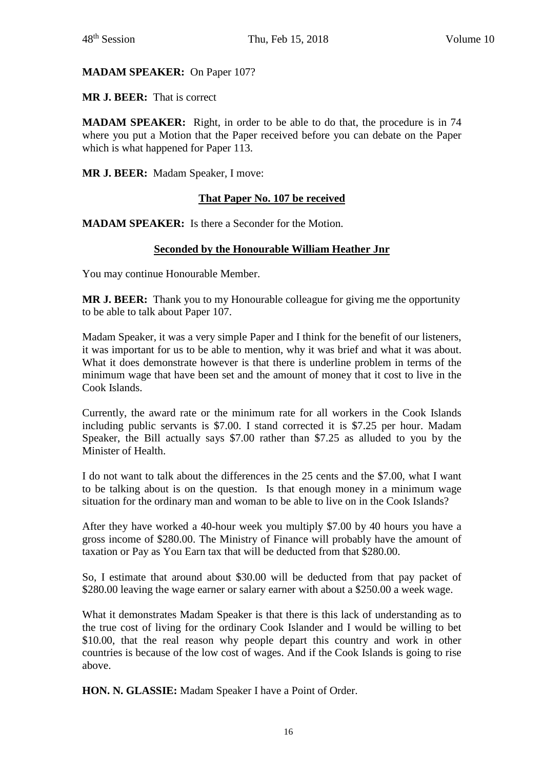## **MADAM SPEAKER:** On Paper 107?

**MR J. BEER:** That is correct

**MADAM SPEAKER:** Right, in order to be able to do that, the procedure is in 74 where you put a Motion that the Paper received before you can debate on the Paper which is what happened for Paper 113.

**MR J. BEER:** Madam Speaker, I move:

## **That Paper No. 107 be received**

**MADAM SPEAKER:** Is there a Seconder for the Motion.

#### **Seconded by the Honourable William Heather Jnr**

You may continue Honourable Member.

**MR J. BEER:** Thank you to my Honourable colleague for giving me the opportunity to be able to talk about Paper 107.

Madam Speaker, it was a very simple Paper and I think for the benefit of our listeners, it was important for us to be able to mention, why it was brief and what it was about. What it does demonstrate however is that there is underline problem in terms of the minimum wage that have been set and the amount of money that it cost to live in the Cook Islands.

Currently, the award rate or the minimum rate for all workers in the Cook Islands including public servants is \$7.00. I stand corrected it is \$7.25 per hour. Madam Speaker, the Bill actually says \$7.00 rather than \$7.25 as alluded to you by the Minister of Health.

I do not want to talk about the differences in the 25 cents and the \$7.00, what I want to be talking about is on the question. Is that enough money in a minimum wage situation for the ordinary man and woman to be able to live on in the Cook Islands?

After they have worked a 40-hour week you multiply \$7.00 by 40 hours you have a gross income of \$280.00. The Ministry of Finance will probably have the amount of taxation or Pay as You Earn tax that will be deducted from that \$280.00.

So, I estimate that around about \$30.00 will be deducted from that pay packet of \$280.00 leaving the wage earner or salary earner with about a \$250.00 a week wage.

What it demonstrates Madam Speaker is that there is this lack of understanding as to the true cost of living for the ordinary Cook Islander and I would be willing to bet \$10.00, that the real reason why people depart this country and work in other countries is because of the low cost of wages. And if the Cook Islands is going to rise above.

**HON. N. GLASSIE:** Madam Speaker I have a Point of Order.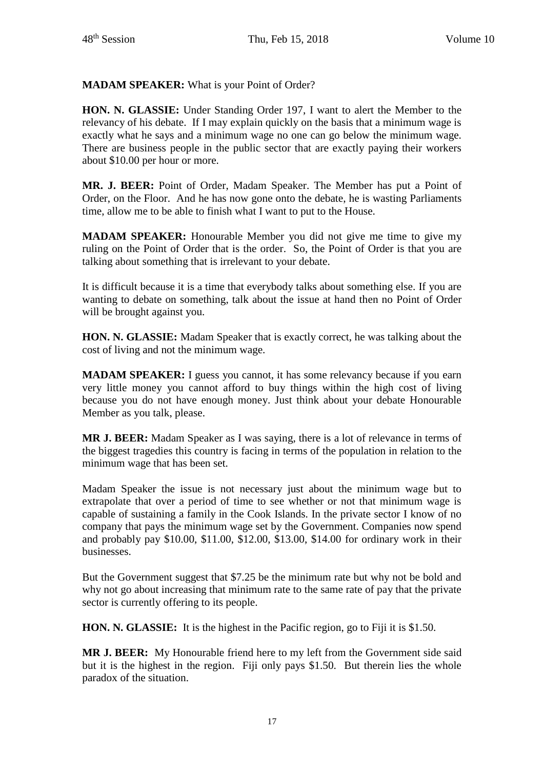**MADAM SPEAKER:** What is your Point of Order?

**HON. N. GLASSIE:** Under Standing Order 197, I want to alert the Member to the relevancy of his debate. If I may explain quickly on the basis that a minimum wage is exactly what he says and a minimum wage no one can go below the minimum wage. There are business people in the public sector that are exactly paying their workers about \$10.00 per hour or more.

**MR. J. BEER:** Point of Order, Madam Speaker. The Member has put a Point of Order, on the Floor. And he has now gone onto the debate, he is wasting Parliaments time, allow me to be able to finish what I want to put to the House.

**MADAM SPEAKER:** Honourable Member you did not give me time to give my ruling on the Point of Order that is the order. So, the Point of Order is that you are talking about something that is irrelevant to your debate.

It is difficult because it is a time that everybody talks about something else. If you are wanting to debate on something, talk about the issue at hand then no Point of Order will be brought against you.

**HON. N. GLASSIE:** Madam Speaker that is exactly correct, he was talking about the cost of living and not the minimum wage.

**MADAM SPEAKER:** I guess you cannot, it has some relevancy because if you earn very little money you cannot afford to buy things within the high cost of living because you do not have enough money. Just think about your debate Honourable Member as you talk, please.

**MR J. BEER:** Madam Speaker as I was saying, there is a lot of relevance in terms of the biggest tragedies this country is facing in terms of the population in relation to the minimum wage that has been set.

Madam Speaker the issue is not necessary just about the minimum wage but to extrapolate that over a period of time to see whether or not that minimum wage is capable of sustaining a family in the Cook Islands. In the private sector I know of no company that pays the minimum wage set by the Government. Companies now spend and probably pay \$10.00, \$11.00, \$12.00, \$13.00, \$14.00 for ordinary work in their businesses.

But the Government suggest that \$7.25 be the minimum rate but why not be bold and why not go about increasing that minimum rate to the same rate of pay that the private sector is currently offering to its people.

**HON. N. GLASSIE:** It is the highest in the Pacific region, go to Fiji it is \$1.50.

**MR J. BEER:** My Honourable friend here to my left from the Government side said but it is the highest in the region. Fiji only pays \$1.50. But therein lies the whole paradox of the situation.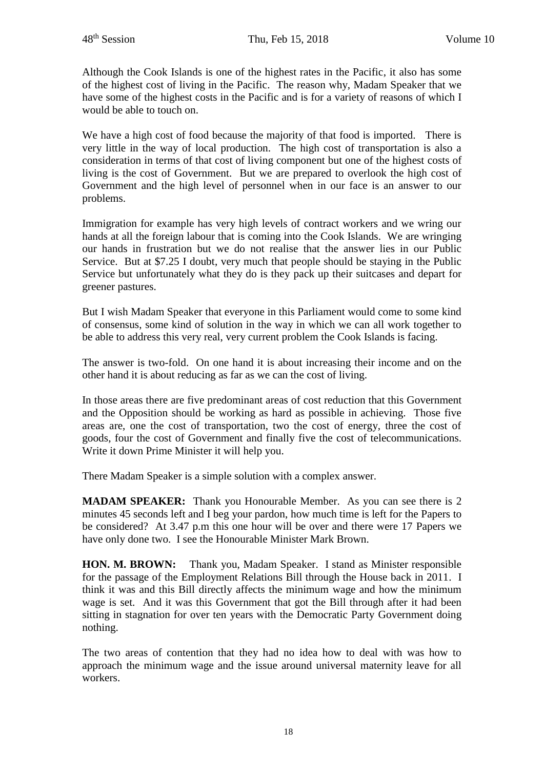Although the Cook Islands is one of the highest rates in the Pacific, it also has some of the highest cost of living in the Pacific. The reason why, Madam Speaker that we have some of the highest costs in the Pacific and is for a variety of reasons of which I would be able to touch on.

We have a high cost of food because the majority of that food is imported. There is very little in the way of local production. The high cost of transportation is also a consideration in terms of that cost of living component but one of the highest costs of living is the cost of Government. But we are prepared to overlook the high cost of Government and the high level of personnel when in our face is an answer to our problems.

Immigration for example has very high levels of contract workers and we wring our hands at all the foreign labour that is coming into the Cook Islands. We are wringing our hands in frustration but we do not realise that the answer lies in our Public Service. But at \$7.25 I doubt, very much that people should be staying in the Public Service but unfortunately what they do is they pack up their suitcases and depart for greener pastures.

But I wish Madam Speaker that everyone in this Parliament would come to some kind of consensus, some kind of solution in the way in which we can all work together to be able to address this very real, very current problem the Cook Islands is facing.

The answer is two-fold. On one hand it is about increasing their income and on the other hand it is about reducing as far as we can the cost of living.

In those areas there are five predominant areas of cost reduction that this Government and the Opposition should be working as hard as possible in achieving. Those five areas are, one the cost of transportation, two the cost of energy, three the cost of goods, four the cost of Government and finally five the cost of telecommunications. Write it down Prime Minister it will help you.

There Madam Speaker is a simple solution with a complex answer.

**MADAM SPEAKER:** Thank you Honourable Member. As you can see there is 2 minutes 45 seconds left and I beg your pardon, how much time is left for the Papers to be considered? At 3.47 p.m this one hour will be over and there were 17 Papers we have only done two. I see the Honourable Minister Mark Brown.

**HON. M. BROWN:** Thank you, Madam Speaker. I stand as Minister responsible for the passage of the Employment Relations Bill through the House back in 2011. I think it was and this Bill directly affects the minimum wage and how the minimum wage is set. And it was this Government that got the Bill through after it had been sitting in stagnation for over ten years with the Democratic Party Government doing nothing.

The two areas of contention that they had no idea how to deal with was how to approach the minimum wage and the issue around universal maternity leave for all workers.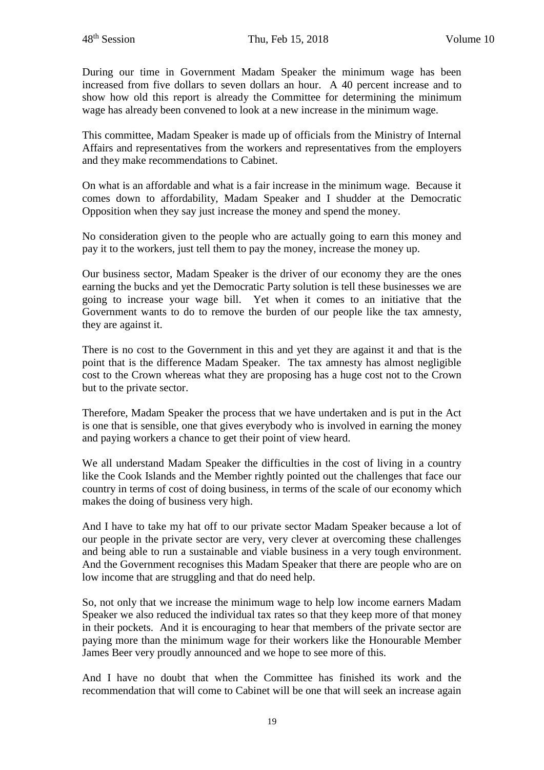During our time in Government Madam Speaker the minimum wage has been increased from five dollars to seven dollars an hour. A 40 percent increase and to show how old this report is already the Committee for determining the minimum wage has already been convened to look at a new increase in the minimum wage.

This committee, Madam Speaker is made up of officials from the Ministry of Internal Affairs and representatives from the workers and representatives from the employers and they make recommendations to Cabinet.

On what is an affordable and what is a fair increase in the minimum wage. Because it comes down to affordability, Madam Speaker and I shudder at the Democratic Opposition when they say just increase the money and spend the money.

No consideration given to the people who are actually going to earn this money and pay it to the workers, just tell them to pay the money, increase the money up.

Our business sector, Madam Speaker is the driver of our economy they are the ones earning the bucks and yet the Democratic Party solution is tell these businesses we are going to increase your wage bill. Yet when it comes to an initiative that the Government wants to do to remove the burden of our people like the tax amnesty, they are against it.

There is no cost to the Government in this and yet they are against it and that is the point that is the difference Madam Speaker. The tax amnesty has almost negligible cost to the Crown whereas what they are proposing has a huge cost not to the Crown but to the private sector.

Therefore, Madam Speaker the process that we have undertaken and is put in the Act is one that is sensible, one that gives everybody who is involved in earning the money and paying workers a chance to get their point of view heard.

We all understand Madam Speaker the difficulties in the cost of living in a country like the Cook Islands and the Member rightly pointed out the challenges that face our country in terms of cost of doing business, in terms of the scale of our economy which makes the doing of business very high.

And I have to take my hat off to our private sector Madam Speaker because a lot of our people in the private sector are very, very clever at overcoming these challenges and being able to run a sustainable and viable business in a very tough environment. And the Government recognises this Madam Speaker that there are people who are on low income that are struggling and that do need help.

So, not only that we increase the minimum wage to help low income earners Madam Speaker we also reduced the individual tax rates so that they keep more of that money in their pockets. And it is encouraging to hear that members of the private sector are paying more than the minimum wage for their workers like the Honourable Member James Beer very proudly announced and we hope to see more of this.

And I have no doubt that when the Committee has finished its work and the recommendation that will come to Cabinet will be one that will seek an increase again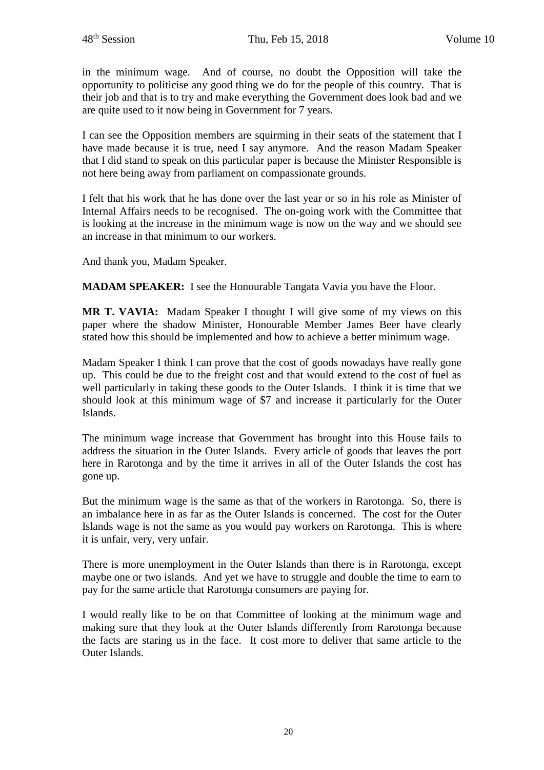in the minimum wage. And of course, no doubt the Opposition will take the opportunity to politicise any good thing we do for the people of this country. That is their job and that is to try and make everything the Government does look bad and we are quite used to it now being in Government for 7 years.

I can see the Opposition members are squirming in their seats of the statement that I have made because it is true, need I say anymore. And the reason Madam Speaker that I did stand to speak on this particular paper is because the Minister Responsible is not here being away from parliament on compassionate grounds.

I felt that his work that he has done over the last year or so in his role as Minister of Internal Affairs needs to be recognised. The on-going work with the Committee that is looking at the increase in the minimum wage is now on the way and we should see an increase in that minimum to our workers.

And thank you, Madam Speaker.

**MADAM SPEAKER:** I see the Honourable Tangata Vavia you have the Floor.

**MR T. VAVIA:** Madam Speaker I thought I will give some of my views on this paper where the shadow Minister, Honourable Member James Beer have clearly stated how this should be implemented and how to achieve a better minimum wage.

Madam Speaker I think I can prove that the cost of goods nowadays have really gone up. This could be due to the freight cost and that would extend to the cost of fuel as well particularly in taking these goods to the Outer Islands. I think it is time that we should look at this minimum wage of \$7 and increase it particularly for the Outer Islands.

The minimum wage increase that Government has brought into this House fails to address the situation in the Outer Islands. Every article of goods that leaves the port here in Rarotonga and by the time it arrives in all of the Outer Islands the cost has gone up.

But the minimum wage is the same as that of the workers in Rarotonga. So, there is an imbalance here in as far as the Outer Islands is concerned. The cost for the Outer Islands wage is not the same as you would pay workers on Rarotonga. This is where it is unfair, very, very unfair.

There is more unemployment in the Outer Islands than there is in Rarotonga, except maybe one or two islands. And yet we have to struggle and double the time to earn to pay for the same article that Rarotonga consumers are paying for.

I would really like to be on that Committee of looking at the minimum wage and making sure that they look at the Outer Islands differently from Rarotonga because the facts are staring us in the face. It cost more to deliver that same article to the Outer Islands.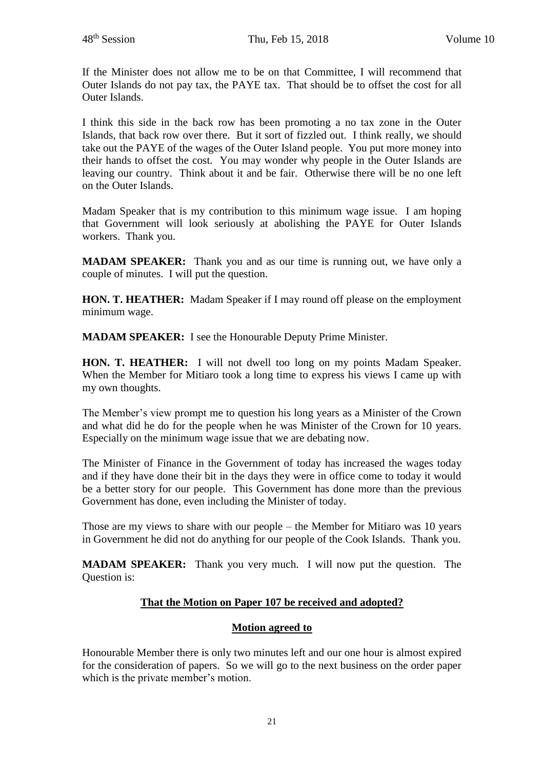If the Minister does not allow me to be on that Committee, I will recommend that Outer Islands do not pay tax, the PAYE tax. That should be to offset the cost for all Outer Islands.

I think this side in the back row has been promoting a no tax zone in the Outer Islands, that back row over there. But it sort of fizzled out. I think really, we should take out the PAYE of the wages of the Outer Island people. You put more money into their hands to offset the cost. You may wonder why people in the Outer Islands are leaving our country. Think about it and be fair. Otherwise there will be no one left on the Outer Islands.

Madam Speaker that is my contribution to this minimum wage issue. I am hoping that Government will look seriously at abolishing the PAYE for Outer Islands workers. Thank you.

**MADAM SPEAKER:** Thank you and as our time is running out, we have only a couple of minutes. I will put the question.

**HON. T. HEATHER:** Madam Speaker if I may round off please on the employment minimum wage.

**MADAM SPEAKER:** I see the Honourable Deputy Prime Minister.

**HON. T. HEATHER:** I will not dwell too long on my points Madam Speaker. When the Member for Mitiaro took a long time to express his views I came up with my own thoughts.

The Member's view prompt me to question his long years as a Minister of the Crown and what did he do for the people when he was Minister of the Crown for 10 years. Especially on the minimum wage issue that we are debating now.

The Minister of Finance in the Government of today has increased the wages today and if they have done their bit in the days they were in office come to today it would be a better story for our people. This Government has done more than the previous Government has done, even including the Minister of today.

Those are my views to share with our people – the Member for Mitiaro was 10 years in Government he did not do anything for our people of the Cook Islands. Thank you.

**MADAM SPEAKER:** Thank you very much. I will now put the question. The Question is:

# **That the Motion on Paper 107 be received and adopted?**

# **Motion agreed to**

Honourable Member there is only two minutes left and our one hour is almost expired for the consideration of papers. So we will go to the next business on the order paper which is the private member's motion.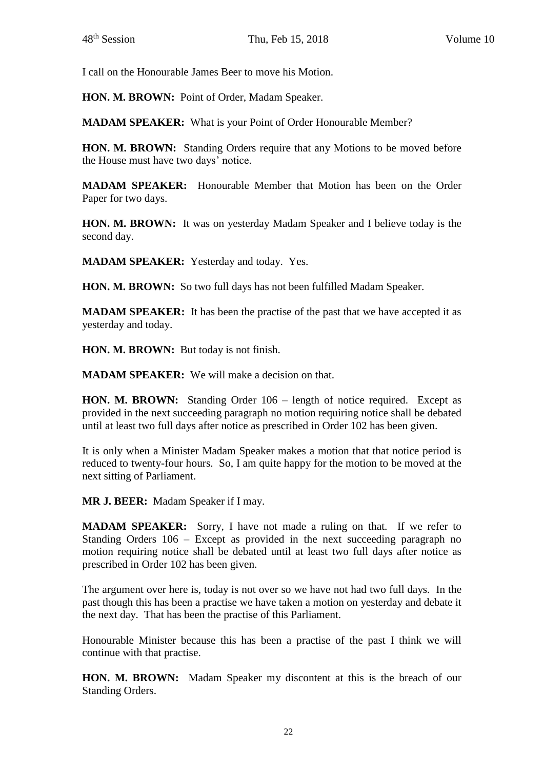I call on the Honourable James Beer to move his Motion.

**HON. M. BROWN:** Point of Order, Madam Speaker.

**MADAM SPEAKER:** What is your Point of Order Honourable Member?

**HON. M. BROWN:** Standing Orders require that any Motions to be moved before the House must have two days' notice.

**MADAM SPEAKER:** Honourable Member that Motion has been on the Order Paper for two days.

**HON. M. BROWN:** It was on yesterday Madam Speaker and I believe today is the second day.

**MADAM SPEAKER:** Yesterday and today. Yes.

**HON. M. BROWN:** So two full days has not been fulfilled Madam Speaker.

**MADAM SPEAKER:** It has been the practise of the past that we have accepted it as yesterday and today.

**HON. M. BROWN:** But today is not finish.

**MADAM SPEAKER:** We will make a decision on that.

**HON. M. BROWN:** Standing Order 106 – length of notice required. Except as provided in the next succeeding paragraph no motion requiring notice shall be debated until at least two full days after notice as prescribed in Order 102 has been given.

It is only when a Minister Madam Speaker makes a motion that that notice period is reduced to twenty-four hours. So, I am quite happy for the motion to be moved at the next sitting of Parliament.

**MR J. BEER:** Madam Speaker if I may.

**MADAM SPEAKER:** Sorry, I have not made a ruling on that. If we refer to Standing Orders 106 – Except as provided in the next succeeding paragraph no motion requiring notice shall be debated until at least two full days after notice as prescribed in Order 102 has been given.

The argument over here is, today is not over so we have not had two full days. In the past though this has been a practise we have taken a motion on yesterday and debate it the next day. That has been the practise of this Parliament.

Honourable Minister because this has been a practise of the past I think we will continue with that practise.

**HON. M. BROWN:** Madam Speaker my discontent at this is the breach of our Standing Orders.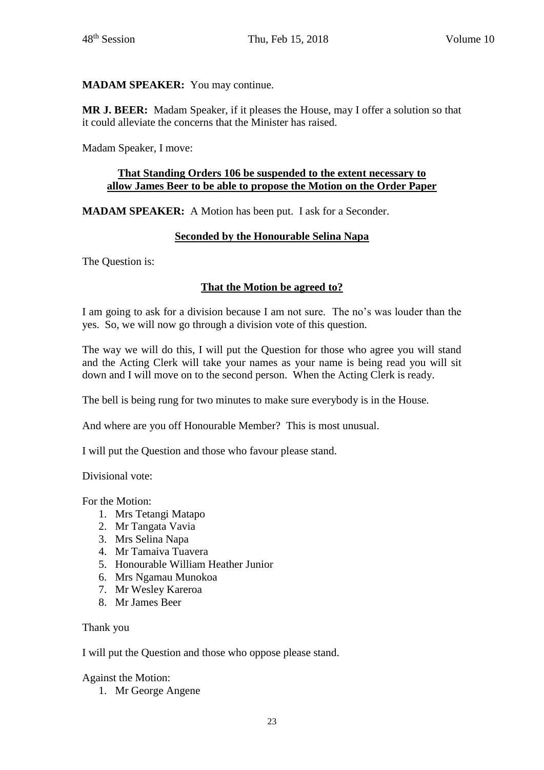# **MADAM SPEAKER:** You may continue.

**MR J. BEER:** Madam Speaker, if it pleases the House, may I offer a solution so that it could alleviate the concerns that the Minister has raised.

Madam Speaker, I move:

### **That Standing Orders 106 be suspended to the extent necessary to allow James Beer to be able to propose the Motion on the Order Paper**

**MADAM SPEAKER:** A Motion has been put. I ask for a Seconder.

## **Seconded by the Honourable Selina Napa**

The Question is:

# **That the Motion be agreed to?**

I am going to ask for a division because I am not sure. The no's was louder than the yes. So, we will now go through a division vote of this question.

The way we will do this, I will put the Question for those who agree you will stand and the Acting Clerk will take your names as your name is being read you will sit down and I will move on to the second person. When the Acting Clerk is ready.

The bell is being rung for two minutes to make sure everybody is in the House.

And where are you off Honourable Member? This is most unusual.

I will put the Question and those who favour please stand.

Divisional vote:

For the Motion:

- 1. Mrs Tetangi Matapo
- 2. Mr Tangata Vavia
- 3. Mrs Selina Napa
- 4. Mr Tamaiva Tuavera
- 5. Honourable William Heather Junior
- 6. Mrs Ngamau Munokoa
- 7. Mr Wesley Kareroa
- 8. Mr James Beer

Thank you

I will put the Question and those who oppose please stand.

#### Against the Motion:

1. Mr George Angene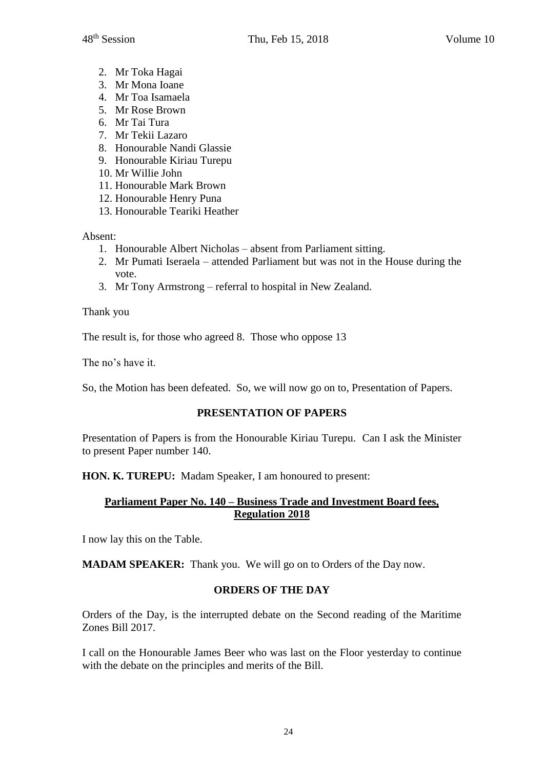- 2. Mr Toka Hagai
- 3. Mr Mona Ioane
- 4. Mr Toa Isamaela
- 5. Mr Rose Brown
- 6. Mr Tai Tura
- 7. Mr Tekii Lazaro
- 8. Honourable Nandi Glassie
- 9. Honourable Kiriau Turepu
- 10. Mr Willie John
- 11. Honourable Mark Brown
- 12. Honourable Henry Puna
- 13. Honourable Teariki Heather

Absent:

- 1. Honourable Albert Nicholas absent from Parliament sitting.
- 2. Mr Pumati Iseraela attended Parliament but was not in the House during the vote.
- 3. Mr Tony Armstrong referral to hospital in New Zealand.

Thank you

The result is, for those who agreed 8. Those who oppose 13

The no's have it.

So, the Motion has been defeated. So, we will now go on to, Presentation of Papers.

# **PRESENTATION OF PAPERS**

Presentation of Papers is from the Honourable Kiriau Turepu. Can I ask the Minister to present Paper number 140.

**HON. K. TUREPU:** Madam Speaker, I am honoured to present:

# **Parliament Paper No. 140 – Business Trade and Investment Board fees, Regulation 2018**

I now lay this on the Table.

**MADAM SPEAKER:** Thank you. We will go on to Orders of the Day now.

# **ORDERS OF THE DAY**

Orders of the Day, is the interrupted debate on the Second reading of the Maritime Zones Bill 2017.

I call on the Honourable James Beer who was last on the Floor yesterday to continue with the debate on the principles and merits of the Bill.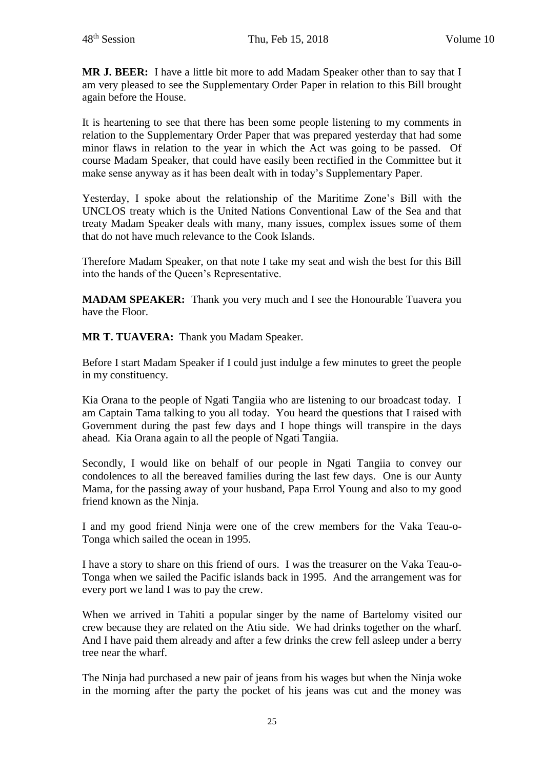**MR J. BEER:** I have a little bit more to add Madam Speaker other than to say that I am very pleased to see the Supplementary Order Paper in relation to this Bill brought again before the House.

It is heartening to see that there has been some people listening to my comments in relation to the Supplementary Order Paper that was prepared yesterday that had some minor flaws in relation to the year in which the Act was going to be passed. Of course Madam Speaker, that could have easily been rectified in the Committee but it make sense anyway as it has been dealt with in today's Supplementary Paper.

Yesterday, I spoke about the relationship of the Maritime Zone's Bill with the UNCLOS treaty which is the United Nations Conventional Law of the Sea and that treaty Madam Speaker deals with many, many issues, complex issues some of them that do not have much relevance to the Cook Islands.

Therefore Madam Speaker, on that note I take my seat and wish the best for this Bill into the hands of the Queen's Representative.

**MADAM SPEAKER:** Thank you very much and I see the Honourable Tuavera you have the Floor.

**MR T. TUAVERA:** Thank you Madam Speaker.

Before I start Madam Speaker if I could just indulge a few minutes to greet the people in my constituency.

Kia Orana to the people of Ngati Tangiia who are listening to our broadcast today. I am Captain Tama talking to you all today. You heard the questions that I raised with Government during the past few days and I hope things will transpire in the days ahead. Kia Orana again to all the people of Ngati Tangiia.

Secondly, I would like on behalf of our people in Ngati Tangiia to convey our condolences to all the bereaved families during the last few days. One is our Aunty Mama, for the passing away of your husband, Papa Errol Young and also to my good friend known as the Ninja.

I and my good friend Ninja were one of the crew members for the Vaka Teau-o-Tonga which sailed the ocean in 1995.

I have a story to share on this friend of ours. I was the treasurer on the Vaka Teau-o-Tonga when we sailed the Pacific islands back in 1995. And the arrangement was for every port we land I was to pay the crew.

When we arrived in Tahiti a popular singer by the name of Bartelomy visited our crew because they are related on the Atiu side. We had drinks together on the wharf. And I have paid them already and after a few drinks the crew fell asleep under a berry tree near the wharf.

The Ninja had purchased a new pair of jeans from his wages but when the Ninja woke in the morning after the party the pocket of his jeans was cut and the money was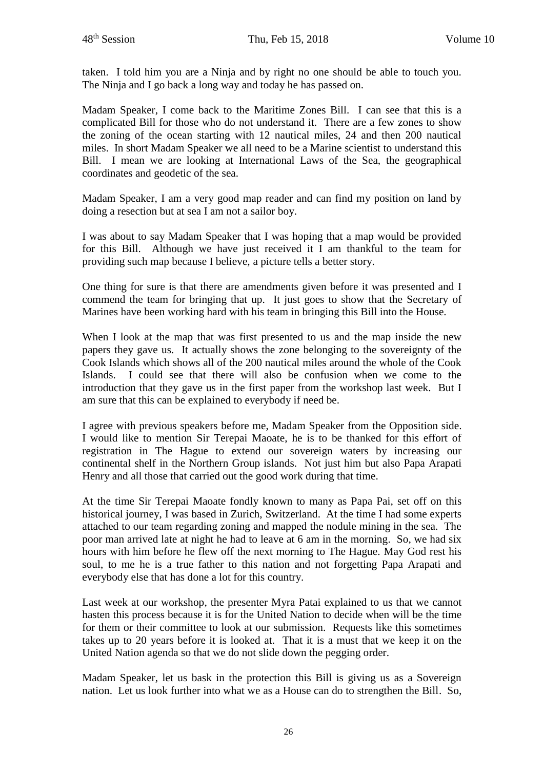taken. I told him you are a Ninja and by right no one should be able to touch you. The Ninja and I go back a long way and today he has passed on.

Madam Speaker, I come back to the Maritime Zones Bill. I can see that this is a complicated Bill for those who do not understand it. There are a few zones to show the zoning of the ocean starting with 12 nautical miles, 24 and then 200 nautical miles. In short Madam Speaker we all need to be a Marine scientist to understand this Bill. I mean we are looking at International Laws of the Sea, the geographical coordinates and geodetic of the sea.

Madam Speaker, I am a very good map reader and can find my position on land by doing a resection but at sea I am not a sailor boy.

I was about to say Madam Speaker that I was hoping that a map would be provided for this Bill. Although we have just received it I am thankful to the team for providing such map because I believe, a picture tells a better story.

One thing for sure is that there are amendments given before it was presented and I commend the team for bringing that up. It just goes to show that the Secretary of Marines have been working hard with his team in bringing this Bill into the House.

When I look at the map that was first presented to us and the map inside the new papers they gave us. It actually shows the zone belonging to the sovereignty of the Cook Islands which shows all of the 200 nautical miles around the whole of the Cook Islands. I could see that there will also be confusion when we come to the introduction that they gave us in the first paper from the workshop last week. But I am sure that this can be explained to everybody if need be.

I agree with previous speakers before me, Madam Speaker from the Opposition side. I would like to mention Sir Terepai Maoate, he is to be thanked for this effort of registration in The Hague to extend our sovereign waters by increasing our continental shelf in the Northern Group islands. Not just him but also Papa Arapati Henry and all those that carried out the good work during that time.

At the time Sir Terepai Maoate fondly known to many as Papa Pai, set off on this historical journey, I was based in Zurich, Switzerland. At the time I had some experts attached to our team regarding zoning and mapped the nodule mining in the sea. The poor man arrived late at night he had to leave at 6 am in the morning. So, we had six hours with him before he flew off the next morning to The Hague. May God rest his soul, to me he is a true father to this nation and not forgetting Papa Arapati and everybody else that has done a lot for this country.

Last week at our workshop, the presenter Myra Patai explained to us that we cannot hasten this process because it is for the United Nation to decide when will be the time for them or their committee to look at our submission. Requests like this sometimes takes up to 20 years before it is looked at. That it is a must that we keep it on the United Nation agenda so that we do not slide down the pegging order.

Madam Speaker, let us bask in the protection this Bill is giving us as a Sovereign nation. Let us look further into what we as a House can do to strengthen the Bill. So,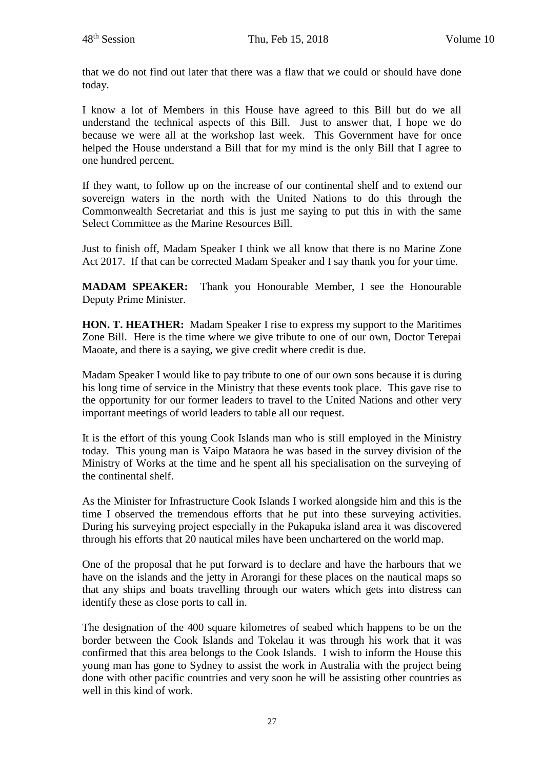that we do not find out later that there was a flaw that we could or should have done today.

I know a lot of Members in this House have agreed to this Bill but do we all understand the technical aspects of this Bill. Just to answer that, I hope we do because we were all at the workshop last week. This Government have for once helped the House understand a Bill that for my mind is the only Bill that I agree to one hundred percent.

If they want, to follow up on the increase of our continental shelf and to extend our sovereign waters in the north with the United Nations to do this through the Commonwealth Secretariat and this is just me saying to put this in with the same Select Committee as the Marine Resources Bill.

Just to finish off, Madam Speaker I think we all know that there is no Marine Zone Act 2017. If that can be corrected Madam Speaker and I say thank you for your time.

**MADAM SPEAKER:** Thank you Honourable Member, I see the Honourable Deputy Prime Minister.

**HON. T. HEATHER:** Madam Speaker I rise to express my support to the Maritimes Zone Bill. Here is the time where we give tribute to one of our own, Doctor Terepai Maoate, and there is a saying, we give credit where credit is due.

Madam Speaker I would like to pay tribute to one of our own sons because it is during his long time of service in the Ministry that these events took place. This gave rise to the opportunity for our former leaders to travel to the United Nations and other very important meetings of world leaders to table all our request.

It is the effort of this young Cook Islands man who is still employed in the Ministry today. This young man is Vaipo Mataora he was based in the survey division of the Ministry of Works at the time and he spent all his specialisation on the surveying of the continental shelf.

As the Minister for Infrastructure Cook Islands I worked alongside him and this is the time I observed the tremendous efforts that he put into these surveying activities. During his surveying project especially in the Pukapuka island area it was discovered through his efforts that 20 nautical miles have been unchartered on the world map.

One of the proposal that he put forward is to declare and have the harbours that we have on the islands and the jetty in Arorangi for these places on the nautical maps so that any ships and boats travelling through our waters which gets into distress can identify these as close ports to call in.

The designation of the 400 square kilometres of seabed which happens to be on the border between the Cook Islands and Tokelau it was through his work that it was confirmed that this area belongs to the Cook Islands. I wish to inform the House this young man has gone to Sydney to assist the work in Australia with the project being done with other pacific countries and very soon he will be assisting other countries as well in this kind of work.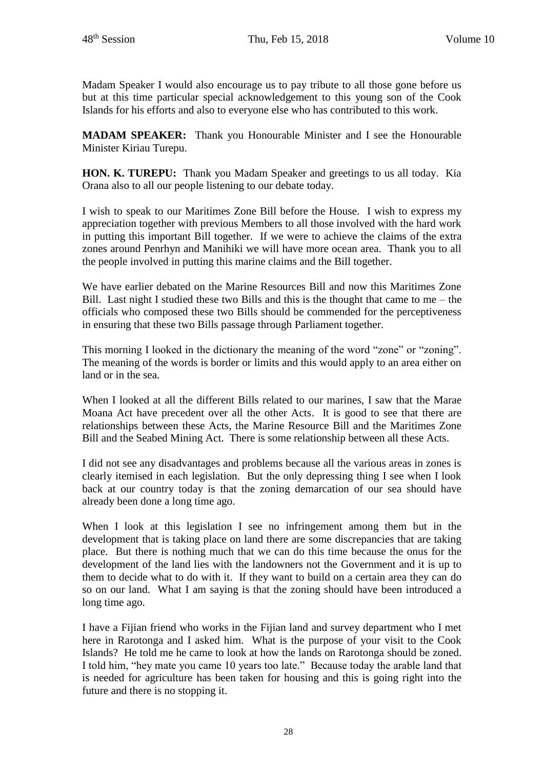Madam Speaker I would also encourage us to pay tribute to all those gone before us but at this time particular special acknowledgement to this young son of the Cook Islands for his efforts and also to everyone else who has contributed to this work.

**MADAM SPEAKER:** Thank you Honourable Minister and I see the Honourable Minister Kiriau Turepu.

**HON. K. TUREPU:** Thank you Madam Speaker and greetings to us all today. Kia Orana also to all our people listening to our debate today.

I wish to speak to our Maritimes Zone Bill before the House. I wish to express my appreciation together with previous Members to all those involved with the hard work in putting this important Bill together. If we were to achieve the claims of the extra zones around Penrhyn and Manihiki we will have more ocean area. Thank you to all the people involved in putting this marine claims and the Bill together.

We have earlier debated on the Marine Resources Bill and now this Maritimes Zone Bill. Last night I studied these two Bills and this is the thought that came to me – the officials who composed these two Bills should be commended for the perceptiveness in ensuring that these two Bills passage through Parliament together.

This morning I looked in the dictionary the meaning of the word "zone" or "zoning". The meaning of the words is border or limits and this would apply to an area either on land or in the sea.

When I looked at all the different Bills related to our marines, I saw that the Marae Moana Act have precedent over all the other Acts. It is good to see that there are relationships between these Acts, the Marine Resource Bill and the Maritimes Zone Bill and the Seabed Mining Act. There is some relationship between all these Acts.

I did not see any disadvantages and problems because all the various areas in zones is clearly itemised in each legislation. But the only depressing thing I see when I look back at our country today is that the zoning demarcation of our sea should have already been done a long time ago.

When I look at this legislation I see no infringement among them but in the development that is taking place on land there are some discrepancies that are taking place. But there is nothing much that we can do this time because the onus for the development of the land lies with the landowners not the Government and it is up to them to decide what to do with it. If they want to build on a certain area they can do so on our land. What I am saying is that the zoning should have been introduced a long time ago.

I have a Fijian friend who works in the Fijian land and survey department who I met here in Rarotonga and I asked him. What is the purpose of your visit to the Cook Islands? He told me he came to look at how the lands on Rarotonga should be zoned. I told him, "hey mate you came 10 years too late." Because today the arable land that is needed for agriculture has been taken for housing and this is going right into the future and there is no stopping it.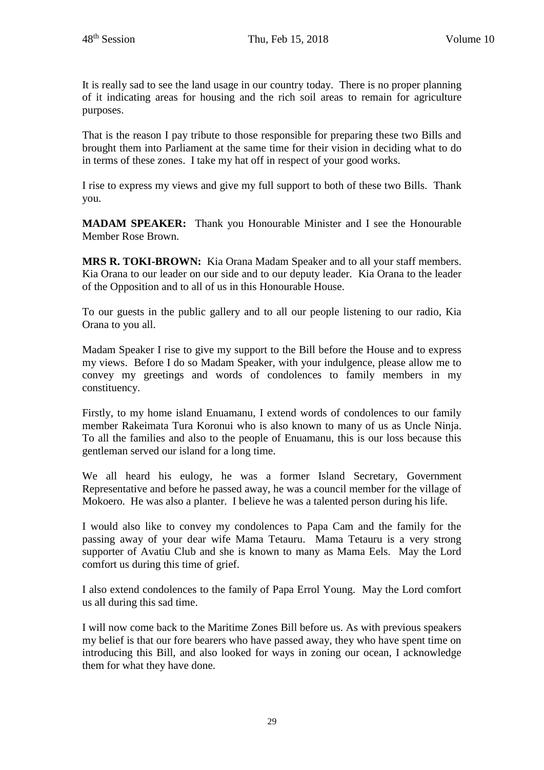It is really sad to see the land usage in our country today. There is no proper planning of it indicating areas for housing and the rich soil areas to remain for agriculture purposes.

That is the reason I pay tribute to those responsible for preparing these two Bills and brought them into Parliament at the same time for their vision in deciding what to do in terms of these zones. I take my hat off in respect of your good works.

I rise to express my views and give my full support to both of these two Bills. Thank you.

**MADAM SPEAKER:** Thank you Honourable Minister and I see the Honourable Member Rose Brown.

**MRS R. TOKI-BROWN:** Kia Orana Madam Speaker and to all your staff members. Kia Orana to our leader on our side and to our deputy leader. Kia Orana to the leader of the Opposition and to all of us in this Honourable House.

To our guests in the public gallery and to all our people listening to our radio, Kia Orana to you all.

Madam Speaker I rise to give my support to the Bill before the House and to express my views. Before I do so Madam Speaker, with your indulgence, please allow me to convey my greetings and words of condolences to family members in my constituency.

Firstly, to my home island Enuamanu, I extend words of condolences to our family member Rakeimata Tura Koronui who is also known to many of us as Uncle Ninja. To all the families and also to the people of Enuamanu, this is our loss because this gentleman served our island for a long time.

We all heard his eulogy, he was a former Island Secretary, Government Representative and before he passed away, he was a council member for the village of Mokoero. He was also a planter. I believe he was a talented person during his life.

I would also like to convey my condolences to Papa Cam and the family for the passing away of your dear wife Mama Tetauru. Mama Tetauru is a very strong supporter of Avatiu Club and she is known to many as Mama Eels. May the Lord comfort us during this time of grief.

I also extend condolences to the family of Papa Errol Young. May the Lord comfort us all during this sad time.

I will now come back to the Maritime Zones Bill before us. As with previous speakers my belief is that our fore bearers who have passed away, they who have spent time on introducing this Bill, and also looked for ways in zoning our ocean, I acknowledge them for what they have done.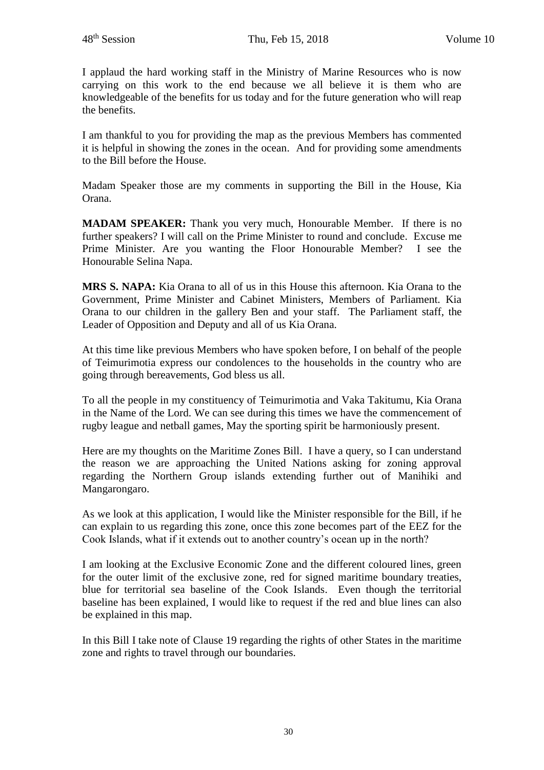I applaud the hard working staff in the Ministry of Marine Resources who is now carrying on this work to the end because we all believe it is them who are knowledgeable of the benefits for us today and for the future generation who will reap the benefits.

I am thankful to you for providing the map as the previous Members has commented it is helpful in showing the zones in the ocean. And for providing some amendments to the Bill before the House.

Madam Speaker those are my comments in supporting the Bill in the House, Kia Orana.

**MADAM SPEAKER:** Thank you very much, Honourable Member. If there is no further speakers? I will call on the Prime Minister to round and conclude. Excuse me Prime Minister. Are you wanting the Floor Honourable Member? I see the Honourable Selina Napa.

**MRS S. NAPA:** Kia Orana to all of us in this House this afternoon. Kia Orana to the Government, Prime Minister and Cabinet Ministers, Members of Parliament. Kia Orana to our children in the gallery Ben and your staff. The Parliament staff, the Leader of Opposition and Deputy and all of us Kia Orana.

At this time like previous Members who have spoken before, I on behalf of the people of Teimurimotia express our condolences to the households in the country who are going through bereavements, God bless us all.

To all the people in my constituency of Teimurimotia and Vaka Takitumu, Kia Orana in the Name of the Lord. We can see during this times we have the commencement of rugby league and netball games, May the sporting spirit be harmoniously present.

Here are my thoughts on the Maritime Zones Bill. I have a query, so I can understand the reason we are approaching the United Nations asking for zoning approval regarding the Northern Group islands extending further out of Manihiki and Mangarongaro.

As we look at this application, I would like the Minister responsible for the Bill, if he can explain to us regarding this zone, once this zone becomes part of the EEZ for the Cook Islands, what if it extends out to another country's ocean up in the north?

I am looking at the Exclusive Economic Zone and the different coloured lines, green for the outer limit of the exclusive zone, red for signed maritime boundary treaties, blue for territorial sea baseline of the Cook Islands. Even though the territorial baseline has been explained, I would like to request if the red and blue lines can also be explained in this map.

In this Bill I take note of Clause 19 regarding the rights of other States in the maritime zone and rights to travel through our boundaries.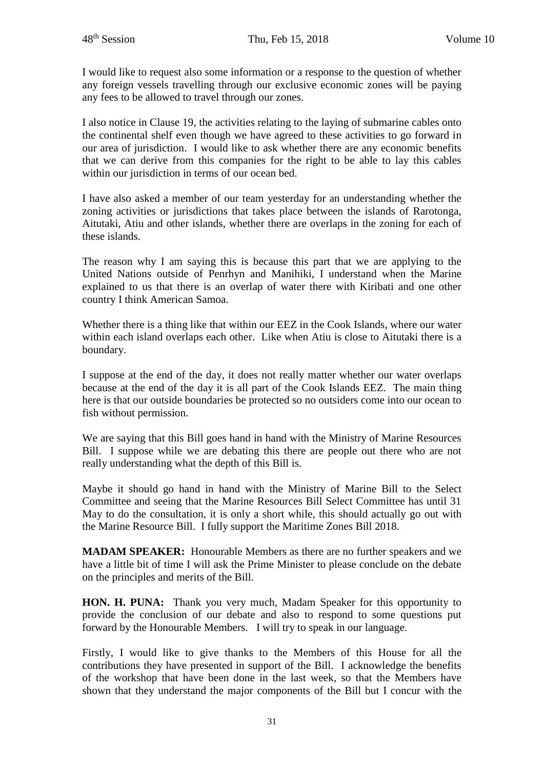I would like to request also some information or a response to the question of whether any foreign vessels travelling through our exclusive economic zones will be paying any fees to be allowed to travel through our zones.

I also notice in Clause 19, the activities relating to the laying of submarine cables onto the continental shelf even though we have agreed to these activities to go forward in our area of jurisdiction. I would like to ask whether there are any economic benefits that we can derive from this companies for the right to be able to lay this cables within our jurisdiction in terms of our ocean bed.

I have also asked a member of our team yesterday for an understanding whether the zoning activities or jurisdictions that takes place between the islands of Rarotonga, Aitutaki, Atiu and other islands, whether there are overlaps in the zoning for each of these islands.

The reason why I am saying this is because this part that we are applying to the United Nations outside of Penrhyn and Manihiki, I understand when the Marine explained to us that there is an overlap of water there with Kiribati and one other country I think American Samoa.

Whether there is a thing like that within our EEZ in the Cook Islands, where our water within each island overlaps each other. Like when Atiu is close to Aitutaki there is a boundary.

I suppose at the end of the day, it does not really matter whether our water overlaps because at the end of the day it is all part of the Cook Islands EEZ. The main thing here is that our outside boundaries be protected so no outsiders come into our ocean to fish without permission.

We are saying that this Bill goes hand in hand with the Ministry of Marine Resources Bill. I suppose while we are debating this there are people out there who are not really understanding what the depth of this Bill is.

Maybe it should go hand in hand with the Ministry of Marine Bill to the Select Committee and seeing that the Marine Resources Bill Select Committee has until 31 May to do the consultation, it is only a short while, this should actually go out with the Marine Resource Bill. I fully support the Maritime Zones Bill 2018.

**MADAM SPEAKER:** Honourable Members as there are no further speakers and we have a little bit of time I will ask the Prime Minister to please conclude on the debate on the principles and merits of the Bill.

**HON. H. PUNA:** Thank you very much, Madam Speaker for this opportunity to provide the conclusion of our debate and also to respond to some questions put forward by the Honourable Members. I will try to speak in our language.

Firstly, I would like to give thanks to the Members of this House for all the contributions they have presented in support of the Bill. I acknowledge the benefits of the workshop that have been done in the last week, so that the Members have shown that they understand the major components of the Bill but I concur with the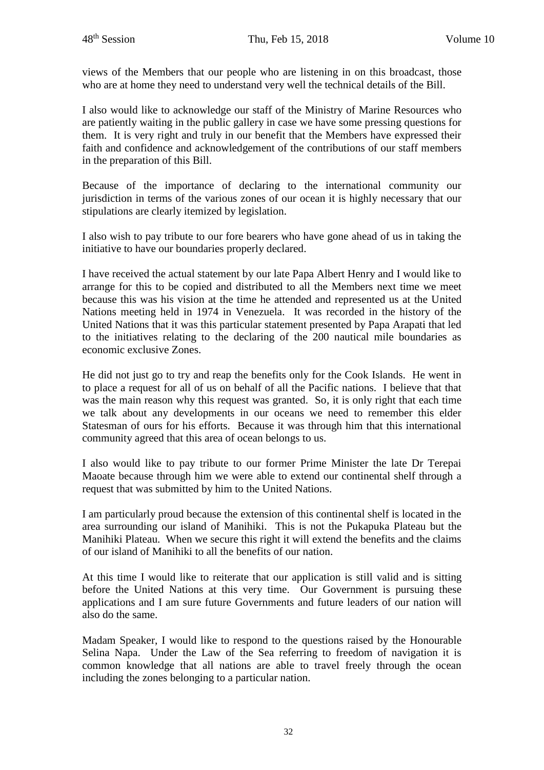views of the Members that our people who are listening in on this broadcast, those who are at home they need to understand very well the technical details of the Bill.

I also would like to acknowledge our staff of the Ministry of Marine Resources who are patiently waiting in the public gallery in case we have some pressing questions for them. It is very right and truly in our benefit that the Members have expressed their faith and confidence and acknowledgement of the contributions of our staff members in the preparation of this Bill.

Because of the importance of declaring to the international community our jurisdiction in terms of the various zones of our ocean it is highly necessary that our stipulations are clearly itemized by legislation.

I also wish to pay tribute to our fore bearers who have gone ahead of us in taking the initiative to have our boundaries properly declared.

I have received the actual statement by our late Papa Albert Henry and I would like to arrange for this to be copied and distributed to all the Members next time we meet because this was his vision at the time he attended and represented us at the United Nations meeting held in 1974 in Venezuela. It was recorded in the history of the United Nations that it was this particular statement presented by Papa Arapati that led to the initiatives relating to the declaring of the 200 nautical mile boundaries as economic exclusive Zones.

He did not just go to try and reap the benefits only for the Cook Islands. He went in to place a request for all of us on behalf of all the Pacific nations. I believe that that was the main reason why this request was granted. So, it is only right that each time we talk about any developments in our oceans we need to remember this elder Statesman of ours for his efforts. Because it was through him that this international community agreed that this area of ocean belongs to us.

I also would like to pay tribute to our former Prime Minister the late Dr Terepai Maoate because through him we were able to extend our continental shelf through a request that was submitted by him to the United Nations.

I am particularly proud because the extension of this continental shelf is located in the area surrounding our island of Manihiki. This is not the Pukapuka Plateau but the Manihiki Plateau. When we secure this right it will extend the benefits and the claims of our island of Manihiki to all the benefits of our nation.

At this time I would like to reiterate that our application is still valid and is sitting before the United Nations at this very time. Our Government is pursuing these applications and I am sure future Governments and future leaders of our nation will also do the same.

Madam Speaker, I would like to respond to the questions raised by the Honourable Selina Napa. Under the Law of the Sea referring to freedom of navigation it is common knowledge that all nations are able to travel freely through the ocean including the zones belonging to a particular nation.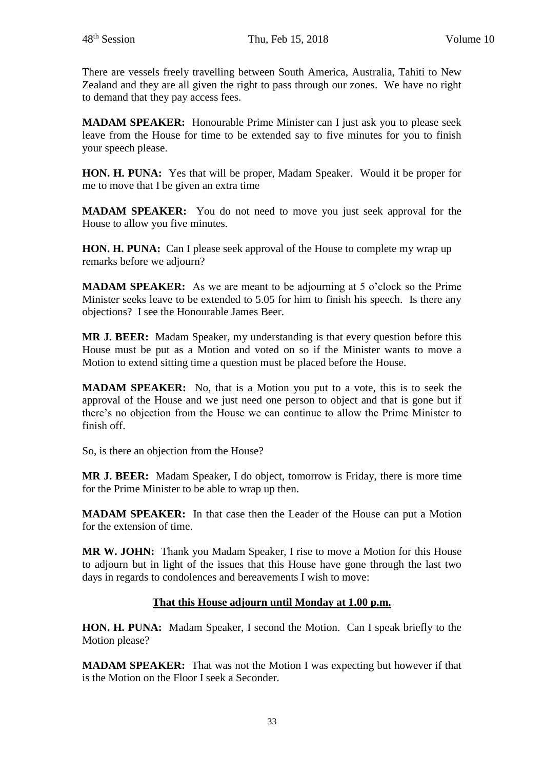There are vessels freely travelling between South America, Australia, Tahiti to New Zealand and they are all given the right to pass through our zones. We have no right to demand that they pay access fees.

**MADAM SPEAKER:** Honourable Prime Minister can I just ask you to please seek leave from the House for time to be extended say to five minutes for you to finish your speech please.

**HON. H. PUNA:** Yes that will be proper, Madam Speaker. Would it be proper for me to move that I be given an extra time

**MADAM SPEAKER:** You do not need to move you just seek approval for the House to allow you five minutes.

**HON. H. PUNA:** Can I please seek approval of the House to complete my wrap up remarks before we adjourn?

**MADAM SPEAKER:** As we are meant to be adjourning at 5 o'clock so the Prime Minister seeks leave to be extended to 5.05 for him to finish his speech. Is there any objections? I see the Honourable James Beer.

**MR J. BEER:** Madam Speaker, my understanding is that every question before this House must be put as a Motion and voted on so if the Minister wants to move a Motion to extend sitting time a question must be placed before the House.

**MADAM SPEAKER:** No, that is a Motion you put to a vote, this is to seek the approval of the House and we just need one person to object and that is gone but if there's no objection from the House we can continue to allow the Prime Minister to finish off.

So, is there an objection from the House?

**MR J. BEER:** Madam Speaker, I do object, tomorrow is Friday, there is more time for the Prime Minister to be able to wrap up then.

**MADAM SPEAKER:** In that case then the Leader of the House can put a Motion for the extension of time.

**MR W. JOHN:** Thank you Madam Speaker, I rise to move a Motion for this House to adjourn but in light of the issues that this House have gone through the last two days in regards to condolences and bereavements I wish to move:

## **That this House adjourn until Monday at 1.00 p.m.**

**HON. H. PUNA:** Madam Speaker, I second the Motion. Can I speak briefly to the Motion please?

**MADAM SPEAKER:** That was not the Motion I was expecting but however if that is the Motion on the Floor I seek a Seconder.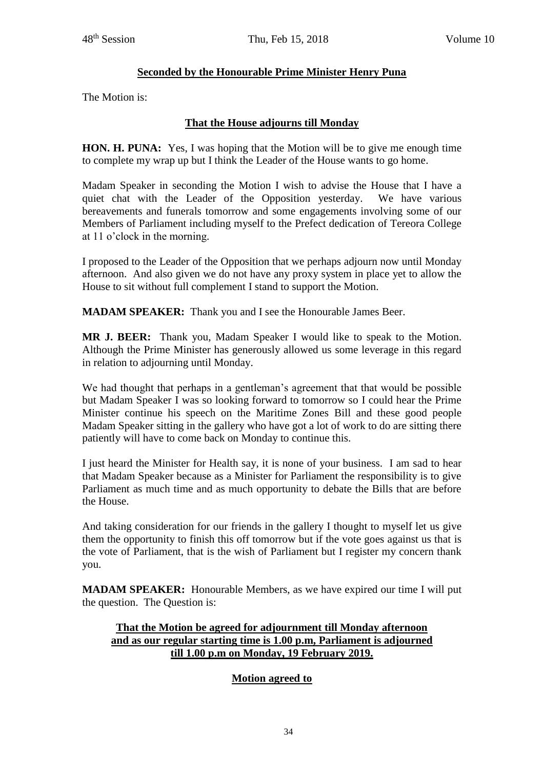# **Seconded by the Honourable Prime Minister Henry Puna**

The Motion is:

# **That the House adjourns till Monday**

**HON. H. PUNA:** Yes, I was hoping that the Motion will be to give me enough time to complete my wrap up but I think the Leader of the House wants to go home.

Madam Speaker in seconding the Motion I wish to advise the House that I have a quiet chat with the Leader of the Opposition yesterday. We have various bereavements and funerals tomorrow and some engagements involving some of our Members of Parliament including myself to the Prefect dedication of Tereora College at 11 o'clock in the morning.

I proposed to the Leader of the Opposition that we perhaps adjourn now until Monday afternoon. And also given we do not have any proxy system in place yet to allow the House to sit without full complement I stand to support the Motion.

**MADAM SPEAKER:** Thank you and I see the Honourable James Beer.

**MR J. BEER:** Thank you, Madam Speaker I would like to speak to the Motion. Although the Prime Minister has generously allowed us some leverage in this regard in relation to adjourning until Monday.

We had thought that perhaps in a gentleman's agreement that that would be possible but Madam Speaker I was so looking forward to tomorrow so I could hear the Prime Minister continue his speech on the Maritime Zones Bill and these good people Madam Speaker sitting in the gallery who have got a lot of work to do are sitting there patiently will have to come back on Monday to continue this.

I just heard the Minister for Health say, it is none of your business. I am sad to hear that Madam Speaker because as a Minister for Parliament the responsibility is to give Parliament as much time and as much opportunity to debate the Bills that are before the House.

And taking consideration for our friends in the gallery I thought to myself let us give them the opportunity to finish this off tomorrow but if the vote goes against us that is the vote of Parliament, that is the wish of Parliament but I register my concern thank you.

**MADAM SPEAKER:** Honourable Members, as we have expired our time I will put the question. The Question is:

## **That the Motion be agreed for adjournment till Monday afternoon and as our regular starting time is 1.00 p.m, Parliament is adjourned till 1.00 p.m on Monday, 19 February 2019.**

# **Motion agreed to**